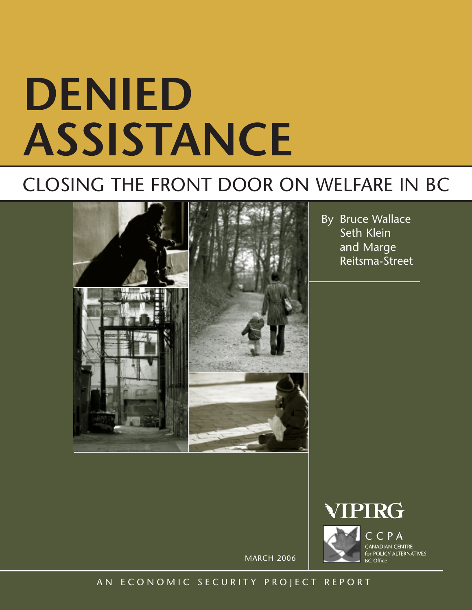# **DENIED ASSISTANCE**

## CLOSING THE FRONT DOOR ON WELFARE IN BC



By Bruce Wallace Seth Klein and Marge Reitsma-Street



MARCH 2006

### AN ECONOMIC SECURITY PROJECT REPORT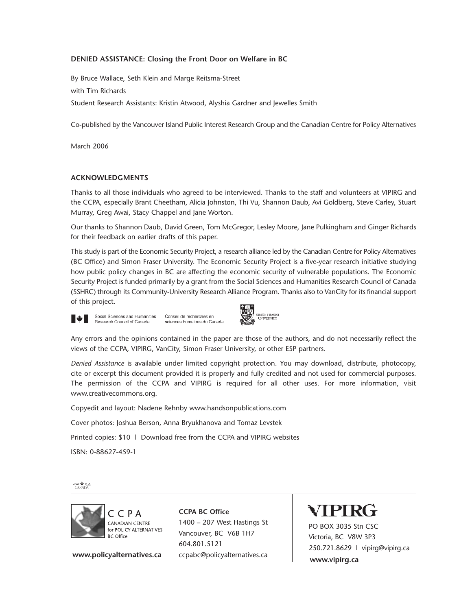#### **DENIED ASSISTANCE: Closing the Front Door on Welfare in BC**

By Bruce Wallace, Seth Klein and Marge Reitsma-Street with Tim Richards Student Research Assistants: Kristin Atwood, Alyshia Gardner and Jewelles Smith

Co-published by the Vancouver Island Public Interest Research Group and the Canadian Centre for Policy Alternatives

March 2006

#### **ACKNOWLEDGMENTS**

Thanks to all those individuals who agreed to be interviewed. Thanks to the staff and volunteers at VIPIRG and the CCPA, especially Brant Cheetham, Alicia Johnston, Thi Vu, Shannon Daub, Avi Goldberg, Steve Carley, Stuart Murray, Greg Awai, Stacy Chappel and Jane Worton.

Our thanks to Shannon Daub, David Green, Tom McGregor, Lesley Moore, Jane Pulkingham and Ginger Richards for their feedback on earlier drafts of this paper.

This study is part of the Economic Security Project, a research alliance led by the Canadian Centre for Policy Alternatives (BC Office) and Simon Fraser University. The Economic Security Project is a five-year research initiative studying how public policy changes in BC are affecting the economic security of vulnerable populations. The Economic Security Project is funded primarily by a grant from the Social Sciences and Humanities Research Council of Canada (SSHRC) through its Community-University Research Alliance Program. Thanks also to VanCity for its financial support of this project.



Social Sciences and Humanities Conseil de recherches en Research Council of Canada sciences humaines du Canada



Any errors and the opinions contained in the paper are those of the authors, and do not necessarily reflect the views of the CCPA, VIPIRG, VanCity, Simon Fraser University, or other ESP partners.

*Denied Assistance* is available under limited copyright protection. You may download, distribute, photocopy, cite or excerpt this document provided it is properly and fully credited and not used for commercial purposes. The permission of the CCPA and VIPIRG is required for all other uses. For more information, visit www.creativecommons.org.

Copyedit and layout: Nadene Rehnby www.handsonpublications.com

Cover photos: Joshua Berson, Anna Bryukhanova and Tomaz Levstek

Printed copies: \$10 | Download free from the CCPA and VIPIRG websites

ISBN: 0-88627-459-1

 $\begin{array}{r} \text{CAW} \overset{\text{sh}}{=\!\!\!=} \underline{\text{TCA}} \\ \text{CANADA} \end{array}$ 



**www.policyalternatives.ca** ccpabc@policyalternatives.ca

**CCPA BC Office** 1400 – 207 West Hastings St Vancouver, BC V6B 1H7 604.801.5121

## VIPIRG

PO BOX 3035 Stn CSC Victoria, BC V8W 3P3 250.721.8629 | vipirg@vipirg.ca **www.vipirg.ca**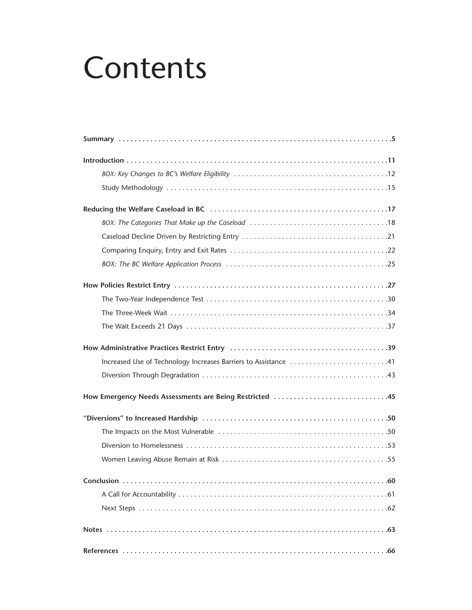## Contents

| Increased Use of Technology Increases Barriers to Assistance 41 |
|-----------------------------------------------------------------|
|                                                                 |
|                                                                 |
|                                                                 |
|                                                                 |
|                                                                 |
|                                                                 |
| $\ldots 60$                                                     |
|                                                                 |
|                                                                 |
|                                                                 |
|                                                                 |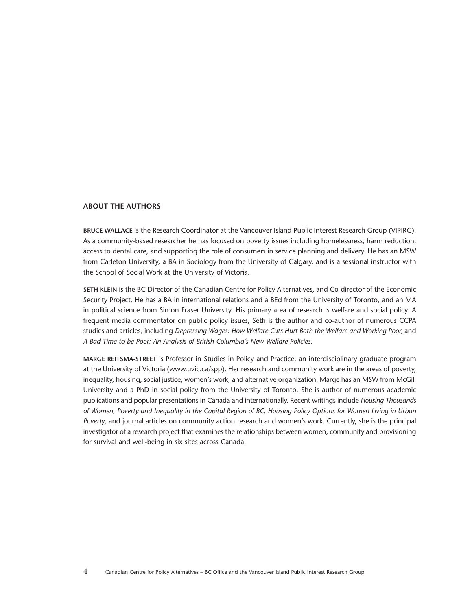#### **ABOUT THE AUTHORS**

**BRUCE WALLACE** is the Research Coordinator at the Vancouver Island Public Interest Research Group (VIPIRG). As a community-based researcher he has focused on poverty issues including homelessness, harm reduction, access to dental care, and supporting the role of consumers in service planning and delivery. He has an MSW from Carleton University, a BA in Sociology from the University of Calgary, and is a sessional instructor with the School of Social Work at the University of Victoria.

**SETH KLEIN** is the BC Director of the Canadian Centre for Policy Alternatives, and Co-director of the Economic Security Project. He has a BA in international relations and a BEd from the University of Toronto, and an MA in political science from Simon Fraser University. His primary area of research is welfare and social policy. A frequent media commentator on public policy issues, Seth is the author and co-author of numerous CCPA studies and articles, including *Depressing Wages: How Welfare Cuts Hurt Both the Welfare and Working Poor,* and *A Bad Time to be Poor: An Analysis of British Columbia's New Welfare Policies.*

**MARGE REITSMA-STREET** is Professor in Studies in Policy and Practice, an interdisciplinary graduate program at the University of Victoria (www.uvic.ca/spp). Her research and community work are in the areas of poverty, inequality, housing, social justice, women's work, and alternative organization. Marge has an MSW from McGill University and a PhD in social policy from the University of Toronto. She is author of numerous academic publications and popular presentations in Canada and internationally. Recent writings include *Housing Thousands of Women, Poverty and Inequality in the Capital Region of BC, Housing Policy Options for Women Living in Urban Poverty,* and journal articles on community action research and women's work. Currently, she is the principal investigator of a research project that examines the relationships between women, community and provisioning for survival and well-being in six sites across Canada.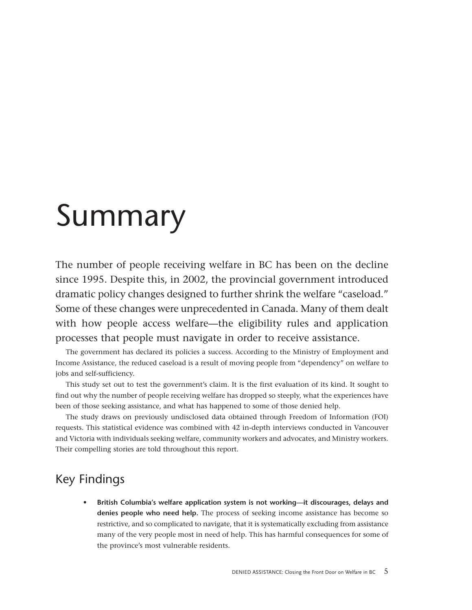## <span id="page-4-0"></span>Summary

The number of people receiving welfare in BC has been on the decline since 1995. Despite this, in 2002, the provincial government introduced dramatic policy changes designed to further shrink the welfare "caseload." Some of these changes were unprecedented in Canada. Many of them dealt with how people access welfare—the eligibility rules and application processes that people must navigate in order to receive assistance.

The government has declared its policies a success. According to the Ministry of Employment and Income Assistance, the reduced caseload is a result of moving people from "dependency" on welfare to jobs and self-sufficiency.

This study set out to test the government's claim. It is the first evaluation of its kind. It sought to find out why the number of people receiving welfare has dropped so steeply, what the experiences have been of those seeking assistance, and what has happened to some of those denied help.

The study draws on previously undisclosed data obtained through Freedom of Information (FOI) requests. This statistical evidence was combined with 42 in-depth interviews conducted in Vancouver and Victoria with individuals seeking welfare, community workers and advocates, and Ministry workers. Their compelling stories are told throughout this report.

## Key Findings

**• British Columbia's welfare application system is not working—it discourages, delays and denies people who need help.** The process of seeking income assistance has become so restrictive, and so complicated to navigate, that it is systematically excluding from assistance many of the very people most in need of help. This has harmful consequences for some of the province's most vulnerable residents.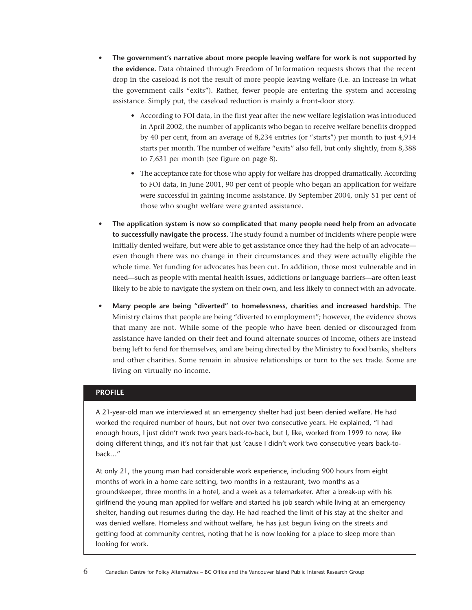- **The government's narrative about more people leaving welfare for work is not supported by the evidence.** Data obtained through Freedom of Information requests shows that the recent drop in the caseload is not the result of more people leaving welfare (i.e. an increase in what the government calls "exits"). Rather, fewer people are entering the system and accessing assistance. Simply put, the caseload reduction is mainly a front-door story.
	- According to FOI data, in the first year after the new welfare legislation was introduced in April 2002, the number of applicants who began to receive welfare benefits dropped by 40 per cent, from an average of 8,234 entries (or "starts") per month to just 4,914 starts per month. The number of welfare "exits" also fell, but only slightly, from 8,388 to 7,631 per month (see figure on page 8).
	- The acceptance rate for those who apply for welfare has dropped dramatically. According to FOI data, in June 2001, 90 per cent of people who began an application for welfare were successful in gaining income assistance. By September 2004, only 51 per cent of those who sought welfare were granted assistance.
- **The application system is now so complicated that many people need help from an advocate to successfully navigate the process.** The study found a number of incidents where people were initially denied welfare, but were able to get assistance once they had the help of an advocate even though there was no change in their circumstances and they were actually eligible the whole time. Yet funding for advocates has been cut. In addition, those most vulnerable and in need—such as people with mental health issues, addictions or language barriers—are often least likely to be able to navigate the system on their own, and less likely to connect with an advocate.
- **Many people are being "diverted" to homelessness, charities and increased hardship.** The Ministry claims that people are being "diverted to employment"; however, the evidence shows that many are not. While some of the people who have been denied or discouraged from assistance have landed on their feet and found alternate sources of income, others are instead being left to fend for themselves, and are being directed by the Ministry to food banks, shelters and other charities. Some remain in abusive relationships or turn to the sex trade. Some are living on virtually no income.

#### **PROFILE**

A 21-year-old man we interviewed at an emergency shelter had just been denied welfare. He had worked the required number of hours, but not over two consecutive years. He explained, "I had enough hours, I just didn't work two years back-to-back, but I, like, worked from 1999 to now, like doing different things, and it's not fair that just 'cause I didn't work two consecutive years back-toback…"

At only 21, the young man had considerable work experience, including 900 hours from eight months of work in a home care setting, two months in a restaurant, two months as a groundskeeper, three months in a hotel, and a week as a telemarketer. After a break-up with his girlfriend the young man applied for welfare and started his job search while living at an emergency shelter, handing out resumes during the day. He had reached the limit of his stay at the shelter and was denied welfare. Homeless and without welfare, he has just begun living on the streets and getting food at community centres, noting that he is now looking for a place to sleep more than looking for work.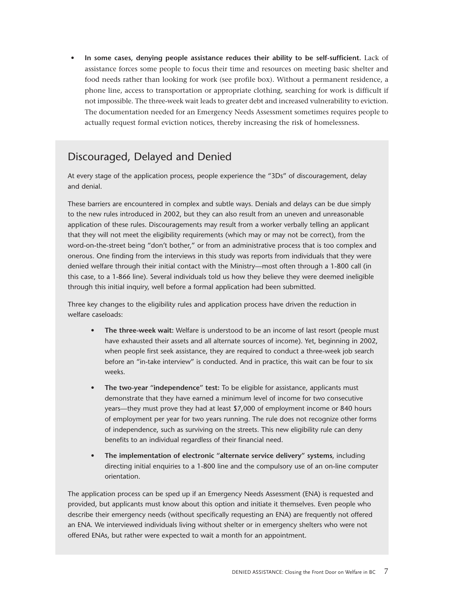• **In some cases, denying people assistance reduces their ability to be self-sufficient.** Lack of assistance forces some people to focus their time and resources on meeting basic shelter and food needs rather than looking for work (see profile box). Without a permanent residence, a phone line, access to transportation or appropriate clothing, searching for work is difficult if not impossible. The three-week wait leads to greater debt and increased vulnerability to eviction. The documentation needed for an Emergency Needs Assessment sometimes requires people to actually request formal eviction notices, thereby increasing the risk of homelessness.

## Discouraged, Delayed and Denied

At every stage of the application process, people experience the "3Ds" of discouragement, delay and denial.

These barriers are encountered in complex and subtle ways. Denials and delays can be due simply to the new rules introduced in 2002, but they can also result from an uneven and unreasonable application of these rules. Discouragements may result from a worker verbally telling an applicant that they will not meet the eligibility requirements (which may or may not be correct), from the word-on-the-street being "don't bother," or from an administrative process that is too complex and onerous. One finding from the interviews in this study was reports from individuals that they were denied welfare through their initial contact with the Ministry—most often through a 1-800 call (in this case, to a 1-866 line). Several individuals told us how they believe they were deemed ineligible through this initial inquiry, well before a formal application had been submitted.

Three key changes to the eligibility rules and application process have driven the reduction in welfare caseloads:

- **The three-week wait:** Welfare is understood to be an income of last resort (people must have exhausted their assets and all alternate sources of income). Yet, beginning in 2002, when people first seek assistance, they are required to conduct a three-week job search before an "in-take interview" is conducted. And in practice, this wait can be four to six weeks.
- **The two-year "independence" test:** To be eligible for assistance, applicants must demonstrate that they have earned a minimum level of income for two consecutive years—they must prove they had at least \$7,000 of employment income or 840 hours of employment per year for two years running. The rule does not recognize other forms of independence, such as surviving on the streets. This new eligibility rule can deny benefits to an individual regardless of their financial need.
- **The implementation of electronic "alternate service delivery" systems**, including directing initial enquiries to a 1-800 line and the compulsory use of an on-line computer orientation.

The application process can be sped up if an Emergency Needs Assessment (ENA) is requested and provided, but applicants must know about this option and initiate it themselves. Even people who describe their emergency needs (without specifically requesting an ENA) are frequently not offered an ENA. We interviewed individuals living without shelter or in emergency shelters who were not offered ENAs, but rather were expected to wait a month for an appointment.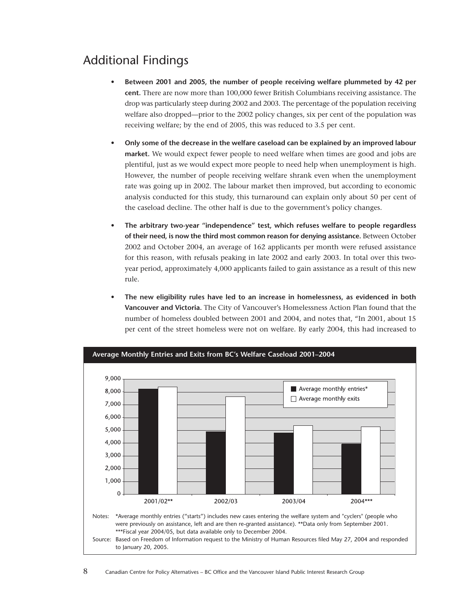## Additional Findings

- **Between 2001 and 2005, the number of people receiving welfare plummeted by 42 per cent.** There are now more than 100,000 fewer British Columbians receiving assistance. The drop was particularly steep during 2002 and 2003. The percentage of the population receiving welfare also dropped—prior to the 2002 policy changes, six per cent of the population was receiving welfare; by the end of 2005, this was reduced to 3.5 per cent.
- **• Only some of the decrease in the welfare caseload can be explained by an improved labour market.** We would expect fewer people to need welfare when times are good and jobs are plentiful, just as we would expect more people to need help when unemployment is high. However, the number of people receiving welfare shrank even when the unemployment rate was going up in 2002. The labour market then improved, but according to economic analysis conducted for this study, this turnaround can explain only about 50 per cent of the caseload decline. The other half is due to the government's policy changes.
- **• The arbitrary two-year "independence" test, which refuses welfare to people regardless of their need, is now the third most common reason for denying assistance.** Between October 2002 and October 2004, an average of 162 applicants per month were refused assistance for this reason, with refusals peaking in late 2002 and early 2003. In total over this twoyear period, approximately 4,000 applicants failed to gain assistance as a result of this new rule.
- **• The new eligibility rules have led to an increase in homelessness, as evidenced in both Vancouver and Victoria.** The City of Vancouver's Homelessness Action Plan found that the number of homeless doubled between 2001 and 2004, and notes that, "In 2001, about 15 per cent of the street homeless were not on welfare. By early 2004, this had increased to

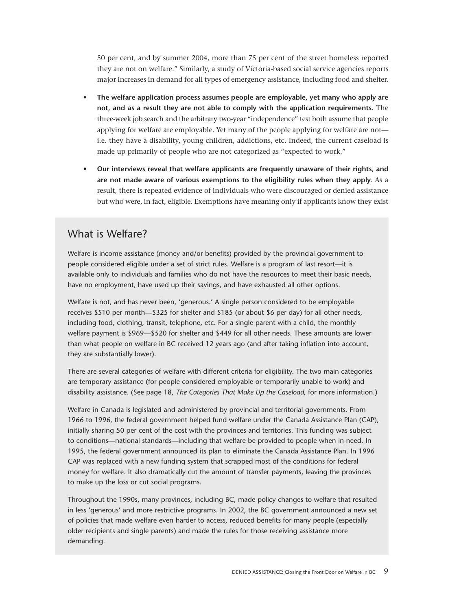50 per cent, and by summer 2004, more than 75 per cent of the street homeless reported they are not on welfare." Similarly, a study of Victoria-based social service agencies reports major increases in demand for all types of emergency assistance, including food and shelter.

- **• The welfare application process assumes people are employable, yet many who apply are not, and as a result they are not able to comply with the application requirements.** The three-week job search and the arbitrary two-year "independence" test both assume that people applying for welfare are employable. Yet many of the people applying for welfare are not i.e. they have a disability, young children, addictions, etc. Indeed, the current caseload is made up primarily of people who are not categorized as "expected to work."
- **• Our interviews reveal that welfare applicants are frequently unaware of their rights, and are not made aware of various exemptions to the eligibility rules when they apply.** As a result, there is repeated evidence of individuals who were discouraged or denied assistance but who were, in fact, eligible. Exemptions have meaning only if applicants know they exist

### What is Welfare?

Welfare is income assistance (money and/or benefits) provided by the provincial government to people considered eligible under a set of strict rules. Welfare is a program of last resort—it is available only to individuals and families who do not have the resources to meet their basic needs, have no employment, have used up their savings, and have exhausted all other options.

Welfare is not, and has never been, 'generous.' A single person considered to be employable receives \$510 per month—\$325 for shelter and \$185 (or about \$6 per day) for all other needs, including food, clothing, transit, telephone, etc. For a single parent with a child, the monthly welfare payment is \$969—\$520 for shelter and \$449 for all other needs. These amounts are lower than what people on welfare in BC received 12 years ago (and after taking inflation into account, they are substantially lower).

There are several categories of welfare with different criteria for eligibility. The two main categories are temporary assistance (for people considered employable or temporarily unable to work) and disability assistance. (See page 18, *The Categories That Make Up the Caseload,* for more information.)

Welfare in Canada is legislated and administered by provincial and territorial governments. From 1966 to 1996, the federal government helped fund welfare under the Canada Assistance Plan (CAP), initially sharing 50 per cent of the cost with the provinces and territories. This funding was subject to conditions—national standards—including that welfare be provided to people when in need. In 1995, the federal government announced its plan to eliminate the Canada Assistance Plan. In 1996 CAP was replaced with a new funding system that scrapped most of the conditions for federal money for welfare. It also dramatically cut the amount of transfer payments, leaving the provinces to make up the loss or cut social programs.

Throughout the 1990s, many provinces, including BC, made policy changes to welfare that resulted in less 'generous' and more restrictive programs. In 2002, the BC government announced a new set of policies that made welfare even harder to access, reduced benefits for many people (especially older recipients and single parents) and made the rules for those receiving assistance more demanding.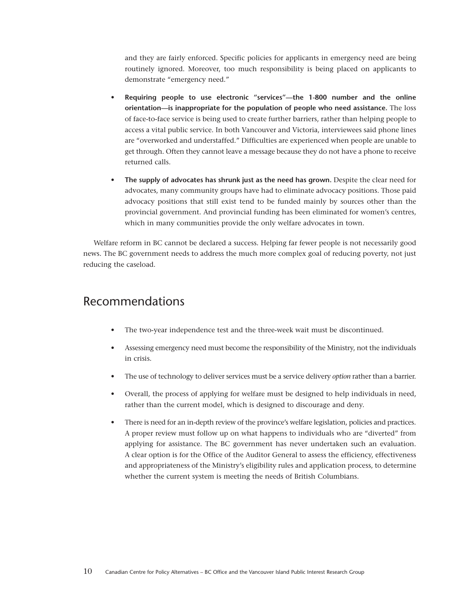and they are fairly enforced. Specific policies for applicants in emergency need are being routinely ignored. Moreover, too much responsibility is being placed on applicants to demonstrate "emergency need."

- **Requiring people to use electronic "services"—the 1-800 number and the online orientation—is inappropriate for the population of people who need assistance.** The loss of face-to-face service is being used to create further barriers, rather than helping people to access a vital public service. In both Vancouver and Victoria, interviewees said phone lines are "overworked and understaffed." Difficulties are experienced when people are unable to get through. Often they cannot leave a message because they do not have a phone to receive returned calls.
- **The supply of advocates has shrunk just as the need has grown.** Despite the clear need for advocates, many community groups have had to eliminate advocacy positions. Those paid advocacy positions that still exist tend to be funded mainly by sources other than the provincial government. And provincial funding has been eliminated for women's centres, which in many communities provide the only welfare advocates in town.

Welfare reform in BC cannot be declared a success. Helping far fewer people is not necessarily good news. The BC government needs to address the much more complex goal of reducing poverty, not just reducing the caseload.

### Recommendations

- The two-year independence test and the three-week wait must be discontinued.
- Assessing emergency need must become the responsibility of the Ministry, not the individuals in crisis.
- The use of technology to deliver services must be a service delivery *option* rather than a barrier.
- Overall, the process of applying for welfare must be designed to help individuals in need, rather than the current model, which is designed to discourage and deny.
- There is need for an in-depth review of the province's welfare legislation, policies and practices. A proper review must follow up on what happens to individuals who are "diverted" from applying for assistance. The BC government has never undertaken such an evaluation. A clear option is for the Office of the Auditor General to assess the efficiency, effectiveness and appropriateness of the Ministry's eligibility rules and application process, to determine whether the current system is meeting the needs of British Columbians.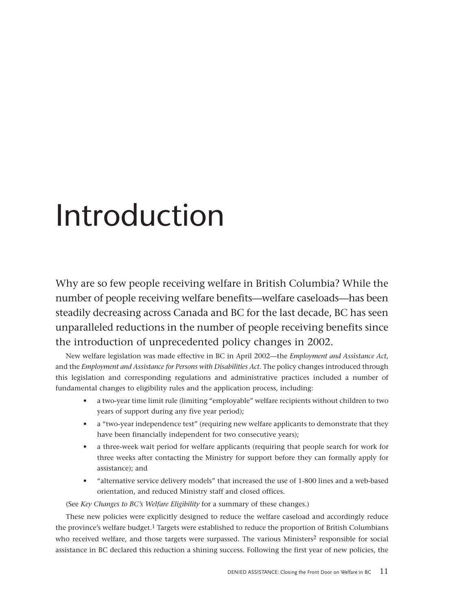## <span id="page-10-0"></span>Introduction

Why are so few people receiving welfare in British Columbia? While the number of people receiving welfare benefits—welfare caseloads—has been steadily decreasing across Canada and BC for the last decade, BC has seen unparalleled reductions in the number of people receiving benefits since the introduction of unprecedented policy changes in 2002.

New welfare legislation was made effective in BC in April 2002—the *Employment and Assistance Act*, and the *Employment and Assistance for Persons with Disabilities Act*. The policy changes introduced through this legislation and corresponding regulations and administrative practices included a number of fundamental changes to eligibility rules and the application process, including:

- a two-year time limit rule (limiting "employable" welfare recipients without children to two years of support during any five year period);
- a "two-year independence test" (requiring new welfare applicants to demonstrate that they have been financially independent for two consecutive years);
- a three-week wait period for welfare applicants (requiring that people search for work for three weeks after contacting the Ministry for support before they can formally apply for assistance); and
- "alternative service delivery models" that increased the use of 1-800 lines and a web-based orientation, and reduced Ministry staff and closed offices.

(See *Key Changes to BC's Welfare Eligibility* for a summary of these changes.)

These new policies were explicitly designed to reduce the welfare caseload and accordingly reduce the province's welfare budget.1 Targets were established to reduce the proportion of British Columbians who received welfare, and those targets were surpassed. The various Ministers<sup>2</sup> responsible for social assistance in BC declared this reduction a shining success. Following the first year of new policies, the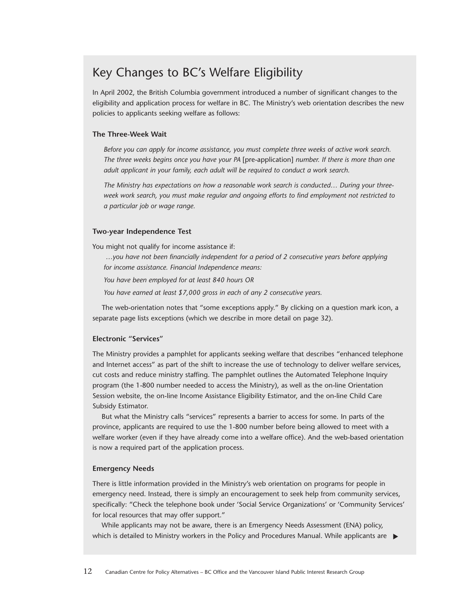## Key Changes to BC's Welfare Eligibility

In April 2002, the British Columbia government introduced a number of significant changes to the eligibility and application process for welfare in BC. The Ministry's web orientation describes the new policies to applicants seeking welfare as follows:

#### **The Three-Week Wait**

*Before you can apply for income assistance, you must complete three weeks of active work search. The three weeks begins once you have your PA* [pre-application] *number. If there is more than one adult applicant in your family, each adult will be required to conduct a work search.*

*The Ministry has expectations on how a reasonable work search is conducted… During your threeweek work search, you must make regular and ongoing efforts to find employment not restricted to a particular job or wage range.*

#### **Two-year Independence Test**

You might not qualify for income assistance if:

*…you have not been financially independent for a period of 2 consecutive years before applying for income assistance. Financial Independence means:*

*You have been employed for at least 840 hours OR*

*You have earned at least \$7,000 gross in each of any 2 consecutive years.*

The web-orientation notes that "some exceptions apply." By clicking on a question mark icon, a separate page lists exceptions (which we describe in more detail on page 32).

#### **Electronic "Services"**

The Ministry provides a pamphlet for applicants seeking welfare that describes "enhanced telephone and Internet access" as part of the shift to increase the use of technology to deliver welfare services, cut costs and reduce ministry staffing. The pamphlet outlines the Automated Telephone Inquiry program (the 1-800 number needed to access the Ministry), as well as the on-line Orientation Session website, the on-line Income Assistance Eligibility Estimator, and the on-line Child Care Subsidy Estimator.

But what the Ministry calls "services" represents a barrier to access for some. In parts of the province, applicants are required to use the 1-800 number before being allowed to meet with a welfare worker (even if they have already come into a welfare office). And the web-based orientation is now a required part of the application process.

#### **Emergency Needs**

There is little information provided in the Ministry's web orientation on programs for people in emergency need. Instead, there is simply an encouragement to seek help from community services, specifically: "Check the telephone book under 'Social Service Organizations' or 'Community Services' for local resources that may offer support."

While applicants may not be aware, there is an Emergency Needs Assessment (ENA) policy, which is detailed to Ministry workers in the Policy and Procedures Manual. While applicants are ▶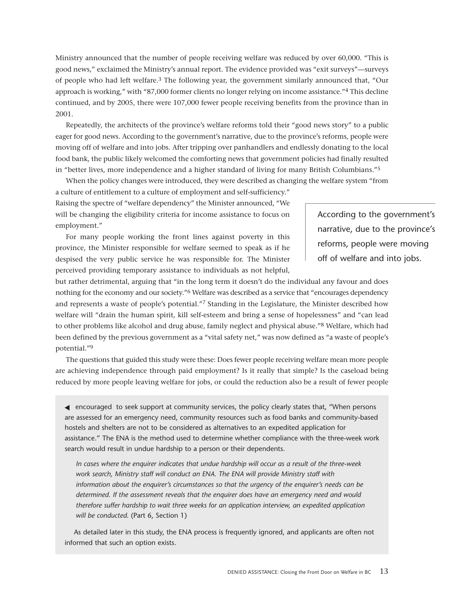Ministry announced that the number of people receiving welfare was reduced by over 60,000. "This is good news," exclaimed the Ministry's annual report. The evidence provided was "exit surveys"—surveys of people who had left welfare.3 The following year, the government similarly announced that, "Our approach is working," with "87,000 former clients no longer relying on income assistance."4 This decline continued, and by 2005, there were 107,000 fewer people receiving benefits from the province than in 2001.

Repeatedly, the architects of the province's welfare reforms told their "good news story" to a public eager for good news. According to the government's narrative, due to the province's reforms, people were moving off of welfare and into jobs. After tripping over panhandlers and endlessly donating to the local food bank, the public likely welcomed the comforting news that government policies had finally resulted in "better lives, more independence and a higher standard of living for many British Columbians."5

When the policy changes were introduced, they were described as changing the welfare system "from a culture of entitlement to a culture of employment and self-sufficiency." Raising the spectre of "welfare dependency" the Minister announced, "We will be changing the eligibility criteria for income assistance to focus on

employment." For many people working the front lines against poverty in this province, the Minister responsible for welfare seemed to speak as if he despised the very public service he was responsible for. The Minister perceived providing temporary assistance to individuals as not helpful,

According to the government's narrative, due to the province's reforms, people were moving off of welfare and into jobs.

but rather detrimental, arguing that "in the long term it doesn't do the individual any favour and does nothing for the economy and our society."6 Welfare was described as a service that "encourages dependency and represents a waste of people's potential."7 Standing in the Legislature, the Minister described how welfare will "drain the human spirit, kill self-esteem and bring a sense of hopelessness" and "can lead to other problems like alcohol and drug abuse, family neglect and physical abuse."8 Welfare, which had been defined by the previous government as a "vital safety net," was now defined as "a waste of people's potential."9

The questions that guided this study were these: Does fewer people receiving welfare mean more people are achieving independence through paid employment? Is it really that simple? Is the caseload being reduced by more people leaving welfare for jobs, or could the reduction also be a result of fewer people

◀ encouraged to seek support at community services, the policy clearly states that, "When persons are assessed for an emergency need, community resources such as food banks and community-based hostels and shelters are not to be considered as alternatives to an expedited application for assistance." The ENA is the method used to determine whether compliance with the three-week work search would result in undue hardship to a person or their dependents.

*In cases where the enquirer indicates that undue hardship will occur as a result of the three-week work search, Ministry staff will conduct an ENA. The ENA will provide Ministry staff with information about the enquirer's circumstances so that the urgency of the enquirer's needs can be determined. If the assessment reveals that the enquirer does have an emergency need and would therefore suffer hardship to wait three weeks for an application interview, an expedited application will be conducted.* (Part 6, Section 1)

As detailed later in this study, the ENA process is frequently ignored, and applicants are often not informed that such an option exists.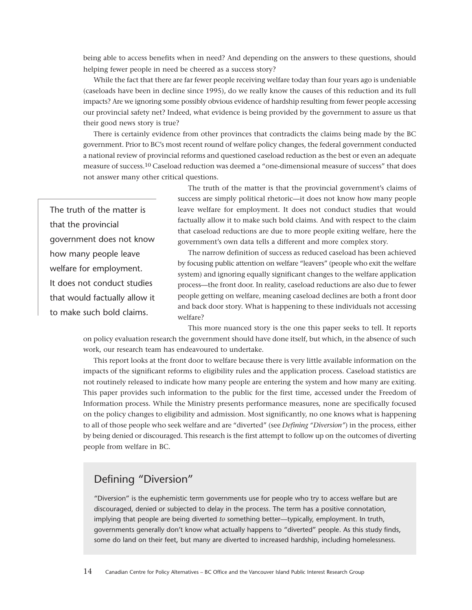being able to access benefits when in need? And depending on the answers to these questions, should helping fewer people in need be cheered as a success story?

While the fact that there are far fewer people receiving welfare today than four years ago is undeniable (caseloads have been in decline since 1995), do we really know the causes of this reduction and its full impacts? Are we ignoring some possibly obvious evidence of hardship resulting from fewer people accessing our provincial safety net? Indeed, what evidence is being provided by the government to assure us that their good news story is true?

There is certainly evidence from other provinces that contradicts the claims being made by the BC government. Prior to BC's most recent round of welfare policy changes, the federal government conducted a national review of provincial reforms and questioned caseload reduction as the best or even an adequate measure of success.10 Caseload reduction was deemed a "one-dimensional measure of success" that does not answer many other critical questions.

The truth of the matter is that the provincial government does not know how many people leave welfare for employment. It does not conduct studies that would factually allow it to make such bold claims.

The truth of the matter is that the provincial government's claims of success are simply political rhetoric—it does not know how many people leave welfare for employment. It does not conduct studies that would factually allow it to make such bold claims. And with respect to the claim that caseload reductions are due to more people exiting welfare, here the government's own data tells a different and more complex story.

The narrow definition of success as reduced caseload has been achieved by focusing public attention on welfare "leavers" (people who exit the welfare system) and ignoring equally significant changes to the welfare application process—the front door. In reality, caseload reductions are also due to fewer people getting on welfare, meaning caseload declines are both a front door and back door story. What is happening to these individuals not accessing welfare?

This more nuanced story is the one this paper seeks to tell. It reports on policy evaluation research the government should have done itself, but which, in the absence of such work, our research team has endeavoured to undertake.

This report looks at the front door to welfare because there is very little available information on the impacts of the significant reforms to eligibility rules and the application process. Caseload statistics are not routinely released to indicate how many people are entering the system and how many are exiting. This paper provides such information to the public for the first time, accessed under the Freedom of Information process. While the Ministry presents performance measures, none are specifically focused on the policy changes to eligibility and admission. Most significantly, no one knows what is happening to all of those people who seek welfare and are "diverted" (see *Defining "Diversion"*) in the process, either by being denied or discouraged. This research is the first attempt to follow up on the outcomes of diverting people from welfare in BC.

## Defining "Diversion"

"Diversion" is the euphemistic term governments use for people who try to access welfare but are discouraged, denied or subjected to delay in the process. The term has a positive connotation, implying that people are being diverted *to* something better—typically, employment. In truth, governments generally don't know what actually happens to "diverted" people. As this study finds, some do land on their feet, but many are diverted to increased hardship, including homelessness.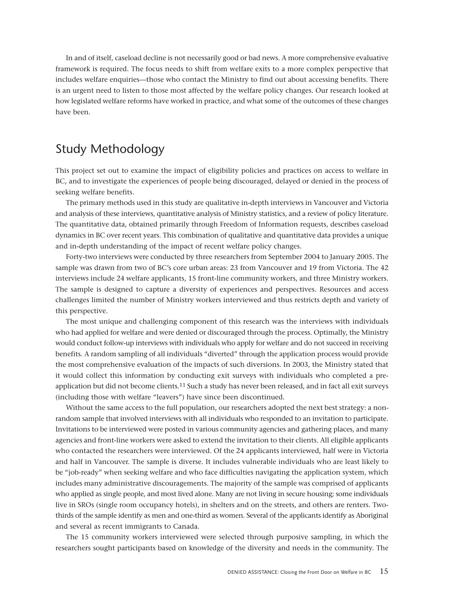<span id="page-14-0"></span>In and of itself, caseload decline is not necessarily good or bad news. A more comprehensive evaluative framework is required. The focus needs to shift from welfare exits to a more complex perspective that includes welfare enquiries—those who contact the Ministry to find out about accessing benefits. There is an urgent need to listen to those most affected by the welfare policy changes. Our research looked at how legislated welfare reforms have worked in practice, and what some of the outcomes of these changes have been.

## Study Methodology

This project set out to examine the impact of eligibility policies and practices on access to welfare in BC, and to investigate the experiences of people being discouraged, delayed or denied in the process of seeking welfare benefits.

The primary methods used in this study are qualitative in-depth interviews in Vancouver and Victoria and analysis of these interviews, quantitative analysis of Ministry statistics, and a review of policy literature. The quantitative data, obtained primarily through Freedom of Information requests, describes caseload dynamics in BC over recent years. This combination of qualitative and quantitative data provides a unique and in-depth understanding of the impact of recent welfare policy changes.

Forty-two interviews were conducted by three researchers from September 2004 to January 2005. The sample was drawn from two of BC's core urban areas: 23 from Vancouver and 19 from Victoria. The 42 interviews include 24 welfare applicants, 15 front-line community workers, and three Ministry workers. The sample is designed to capture a diversity of experiences and perspectives. Resources and access challenges limited the number of Ministry workers interviewed and thus restricts depth and variety of this perspective.

The most unique and challenging component of this research was the interviews with individuals who had applied for welfare and were denied or discouraged through the process. Optimally, the Ministry would conduct follow-up interviews with individuals who apply for welfare and do not succeed in receiving benefits. A random sampling of all individuals "diverted" through the application process would provide the most comprehensive evaluation of the impacts of such diversions. In 2003, the Ministry stated that it would collect this information by conducting exit surveys with individuals who completed a preapplication but did not become clients.<sup>11</sup> Such a study has never been released, and in fact all exit surveys (including those with welfare "leavers") have since been discontinued.

Without the same access to the full population, our researchers adopted the next best strategy: a nonrandom sample that involved interviews with all individuals who responded to an invitation to participate. Invitations to be interviewed were posted in various community agencies and gathering places, and many agencies and front-line workers were asked to extend the invitation to their clients. All eligible applicants who contacted the researchers were interviewed. Of the 24 applicants interviewed, half were in Victoria and half in Vancouver. The sample is diverse. It includes vulnerable individuals who are least likely to be "job-ready" when seeking welfare and who face difficulties navigating the application system, which includes many administrative discouragements. The majority of the sample was comprised of applicants who applied as single people, and most lived alone. Many are not living in secure housing; some individuals live in SROs (single room occupancy hotels), in shelters and on the streets, and others are renters. Twothirds of the sample identify as men and one-third as women. Several of the applicants identify as Aboriginal and several as recent immigrants to Canada.

The 15 community workers interviewed were selected through purposive sampling, in which the researchers sought participants based on knowledge of the diversity and needs in the community. The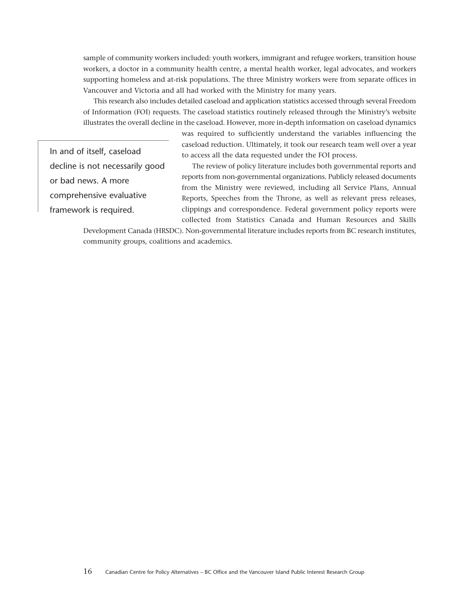sample of community workers included: youth workers, immigrant and refugee workers, transition house workers, a doctor in a community health centre, a mental health worker, legal advocates, and workers supporting homeless and at-risk populations. The three Ministry workers were from separate offices in Vancouver and Victoria and all had worked with the Ministry for many years.

This research also includes detailed caseload and application statistics accessed through several Freedom of Information (FOI) requests. The caseload statistics routinely released through the Ministry's website illustrates the overall decline in the caseload. However, more in-depth information on caseload dynamics

> was required to sufficiently understand the variables influencing the caseload reduction. Ultimately, it took our research team well over a year to access all the data requested under the FOI process.

In and of itself, caseload decline is not necessarily good or bad news. A more comprehensive evaluative framework is required.

The review of policy literature includes both governmental reports and reports from non-governmental organizations. Publicly released documents from the Ministry were reviewed, including all Service Plans, Annual Reports, Speeches from the Throne, as well as relevant press releases, clippings and correspondence. Federal government policy reports were collected from Statistics Canada and Human Resources and Skills

Development Canada (HRSDC). Non-governmental literature includes reports from BC research institutes, community groups, coalitions and academics.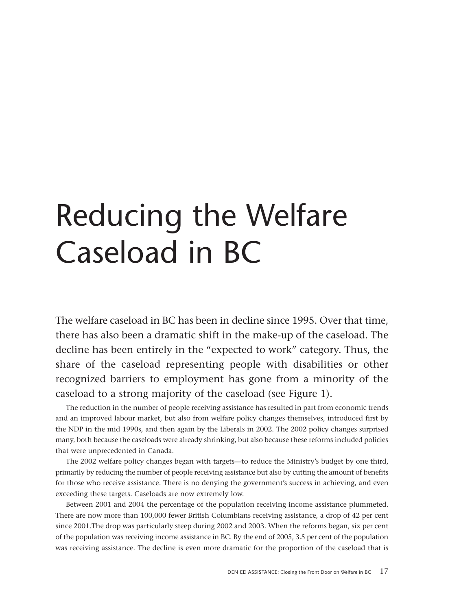## <span id="page-16-0"></span>Reducing the Welfare Caseload in BC

The welfare caseload in BC has been in decline since 1995. Over that time, there has also been a dramatic shift in the make-up of the caseload. The decline has been entirely in the "expected to work" category. Thus, the share of the caseload representing people with disabilities or other recognized barriers to employment has gone from a minority of the caseload to a strong majority of the caseload (see Figure 1).

The reduction in the number of people receiving assistance has resulted in part from economic trends and an improved labour market, but also from welfare policy changes themselves, introduced first by the NDP in the mid 1990s, and then again by the Liberals in 2002. The 2002 policy changes surprised many, both because the caseloads were already shrinking, but also because these reforms included policies that were unprecedented in Canada.

The 2002 welfare policy changes began with targets—to reduce the Ministry's budget by one third, primarily by reducing the number of people receiving assistance but also by cutting the amount of benefits for those who receive assistance. There is no denying the government's success in achieving, and even exceeding these targets. Caseloads are now extremely low.

Between 2001 and 2004 the percentage of the population receiving income assistance plummeted. There are now more than 100,000 fewer British Columbians receiving assistance, a drop of 42 per cent since 2001.The drop was particularly steep during 2002 and 2003. When the reforms began, six per cent of the population was receiving income assistance in BC. By the end of 2005, 3.5 per cent of the population was receiving assistance. The decline is even more dramatic for the proportion of the caseload that is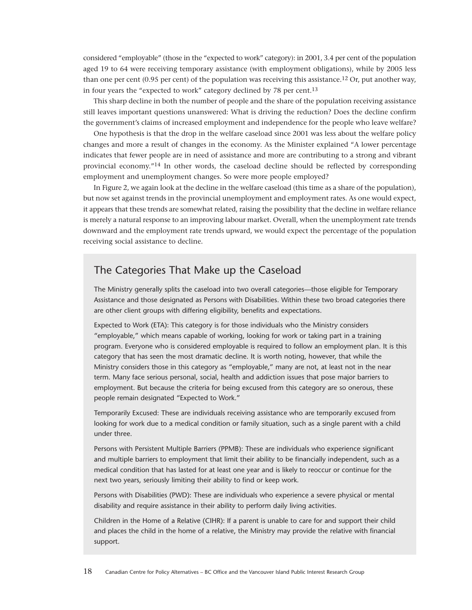considered "employable" (those in the "expected to work" category): in 2001, 3.4 per cent of the population aged 19 to 64 were receiving temporary assistance (with employment obligations), while by 2005 less than one per cent (0.95 per cent) of the population was receiving this assistance.<sup>12</sup> Or, put another way, in four years the "expected to work" category declined by 78 per cent.13

This sharp decline in both the number of people and the share of the population receiving assistance still leaves important questions unanswered: What is driving the reduction? Does the decline confirm the government's claims of increased employment and independence for the people who leave welfare?

One hypothesis is that the drop in the welfare caseload since 2001 was less about the welfare policy changes and more a result of changes in the economy. As the Minister explained "A lower percentage indicates that fewer people are in need of assistance and more are contributing to a strong and vibrant provincial economy."14 In other words, the caseload decline should be reflected by corresponding employment and unemployment changes. So were more people employed?

In Figure 2, we again look at the decline in the welfare caseload (this time as a share of the population), but now set against trends in the provincial unemployment and employment rates. As one would expect, it appears that these trends are somewhat related, raising the possibility that the decline in welfare reliance is merely a natural response to an improving labour market. Overall, when the unemployment rate trends downward and the employment rate trends upward, we would expect the percentage of the population receiving social assistance to decline.

### The Categories That Make up the Caseload

The Ministry generally splits the caseload into two overall categories—those eligible for Temporary Assistance and those designated as Persons with Disabilities. Within these two broad categories there are other client groups with differing eligibility, benefits and expectations.

Expected to Work (ETA): This category is for those individuals who the Ministry considers "employable," which means capable of working, looking for work or taking part in a training program. Everyone who is considered employable is required to follow an employment plan. It is this category that has seen the most dramatic decline. It is worth noting, however, that while the Ministry considers those in this category as "employable," many are not, at least not in the near term. Many face serious personal, social, health and addiction issues that pose major barriers to employment. But because the criteria for being excused from this category are so onerous, these people remain designated "Expected to Work."

Temporarily Excused: These are individuals receiving assistance who are temporarily excused from looking for work due to a medical condition or family situation, such as a single parent with a child under three.

Persons with Persistent Multiple Barriers (PPMB): These are individuals who experience significant and multiple barriers to employment that limit their ability to be financially independent, such as a medical condition that has lasted for at least one year and is likely to reoccur or continue for the next two years, seriously limiting their ability to find or keep work.

Persons with Disabilities (PWD): These are individuals who experience a severe physical or mental disability and require assistance in their ability to perform daily living activities.

Children in the Home of a Relative (CIHR): If a parent is unable to care for and support their child and places the child in the home of a relative, the Ministry may provide the relative with financial support.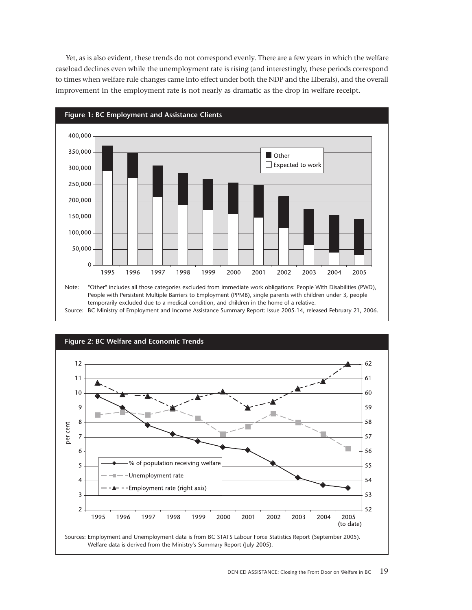Yet, as is also evident, these trends do not correspond evenly. There are a few years in which the welfare caseload declines even while the unemployment rate is rising (and interestingly, these periods correspond to times when welfare rule changes came into effect under both the NDP and the Liberals), and the overall improvement in the employment rate is not nearly as dramatic as the drop in welfare receipt.



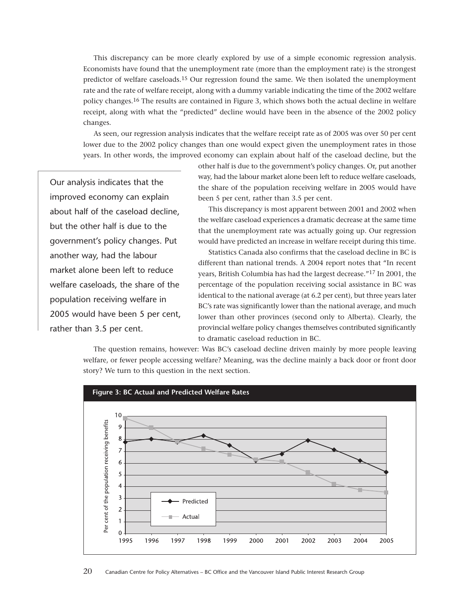This discrepancy can be more clearly explored by use of a simple economic regression analysis. Economists have found that the unemployment rate (more than the employment rate) is the strongest predictor of welfare caseloads.15 Our regression found the same. We then isolated the unemployment rate and the rate of welfare receipt, along with a dummy variable indicating the time of the 2002 welfare policy changes.16 The results are contained in Figure 3, which shows both the actual decline in welfare receipt, along with what the "predicted" decline would have been in the absence of the 2002 policy changes.

As seen, our regression analysis indicates that the welfare receipt rate as of 2005 was over 50 per cent lower due to the 2002 policy changes than one would expect given the unemployment rates in those years. In other words, the improved economy can explain about half of the caseload decline, but the

Our analysis indicates that the improved economy can explain about half of the caseload decline, but the other half is due to the government's policy changes. Put another way, had the labour market alone been left to reduce welfare caseloads, the share of the population receiving welfare in 2005 would have been 5 per cent, rather than 3.5 per cent.

other half is due to the government's policy changes. Or, put another way, had the labour market alone been left to reduce welfare caseloads, the share of the population receiving welfare in 2005 would have been 5 per cent, rather than 3.5 per cent.

This discrepancy is most apparent between 2001 and 2002 when the welfare caseload experiences a dramatic decrease at the same time that the unemployment rate was actually going up. Our regression would have predicted an increase in welfare receipt during this time.

Statistics Canada also confirms that the caseload decline in BC is different than national trends. A 2004 report notes that "In recent years, British Columbia has had the largest decrease."17 In 2001, the percentage of the population receiving social assistance in BC was identical to the national average (at 6.2 per cent), but three years later BC's rate was significantly lower than the national average, and much lower than other provinces (second only to Alberta). Clearly, the provincial welfare policy changes themselves contributed significantly to dramatic caseload reduction in BC.

The question remains, however: Was BC's caseload decline driven mainly by more people leaving welfare, or fewer people accessing welfare? Meaning, was the decline mainly a back door or front door story? We turn to this question in the next section.

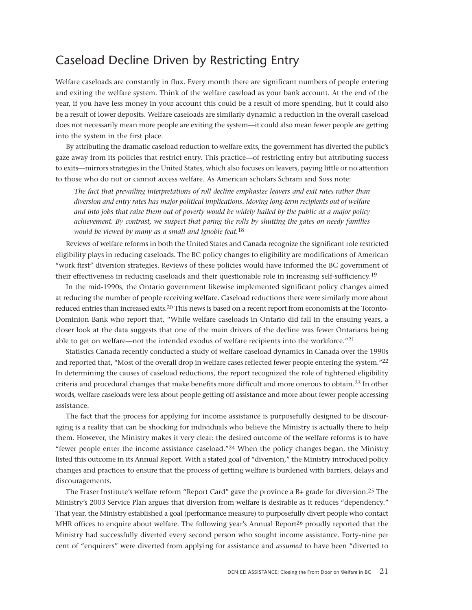## Caseload Decline Driven by Restricting Entry

Welfare caseloads are constantly in flux. Every month there are significant numbers of people entering and exiting the welfare system. Think of the welfare caseload as your bank account. At the end of the year, if you have less money in your account this could be a result of more spending, but it could also be a result of lower deposits. Welfare caseloads are similarly dynamic: a reduction in the overall caseload does not necessarily mean more people are exiting the system—it could also mean fewer people are getting into the system in the first place.

By attributing the dramatic caseload reduction to welfare exits, the government has diverted the public's gaze away from its policies that restrict entry. This practice—of restricting entry but attributing success to exits—mirrors strategies in the United States, which also focuses on leavers, paying little or no attention to those who do not or cannot access welfare. As American scholars Schram and Soss note:

<span id="page-20-0"></span>*The fact that prevailing interpretations of roll decline emphasize leavers and exit rates rather than diversion and entry rates has major political implications. Moving long-term recipients out of welfare and into jobs that raise them out of poverty would be widely hailed by the public as a major policy achievement. By contrast, we suspect that paring the rolls by shutting the gates on needy families would be viewed by many as a small and ignoble feat.*18

Reviews of welfare reforms in both the United States and Canada recognize the significant role restricted eligibility plays in reducing caseloads. The BC policy changes to eligibility are modifications of American "work first" diversion strategies. Reviews of these policies would have informed the BC government of their effectiveness in reducing caseloads and their questionable role in increasing self-sufficiency.19

In the mid-1990s, the Ontario government likewise implemented significant policy changes aimed at reducing the number of people receiving welfare. Caseload reductions there were similarly more about reduced entries than increased exits.20 This news is based on a recent report from economists at the Toronto-Dominion Bank who report that, "While welfare caseloads in Ontario did fall in the ensuing years, a closer look at the data suggests that one of the main drivers of the decline was fewer Ontarians being able to get on welfare—not the intended exodus of welfare recipients into the workforce."21

Statistics Canada recently conducted a study of welfare caseload dynamics in Canada over the 1990s and reported that, "Most of the overall drop in welfare cases reflected fewer people entering the system."22 In determining the causes of caseload reductions, the report recognized the role of tightened eligibility criteria and procedural changes that make benefits more difficult and more onerous to obtain.23 In other words, welfare caseloads were less about people getting off assistance and more about fewer people accessing assistance.

The fact that the process for applying for income assistance is purposefully designed to be discouraging is a reality that can be shocking for individuals who believe the Ministry is actually there to help them. However, the Ministry makes it very clear: the desired outcome of the welfare reforms is to have "fewer people enter the income assistance caseload." $24$  When the policy changes began, the Ministry listed this outcome in its Annual Report. With a stated goal of "diversion," the Ministry introduced policy changes and practices to ensure that the process of getting welfare is burdened with barriers, delays and discouragements.

The Fraser Institute's welfare reform "Report Card" gave the province a B+ grade for diversion.<sup>25</sup> The Ministry's 2003 Service Plan argues that diversion from welfare is desirable as it reduces "dependency." That year, the Ministry established a goal (performance measure) to purposefully divert people who contact MHR offices to enquire about welfare. The following year's Annual Report $^{26}$  proudly reported that the Ministry had successfully diverted every second person who sought income assistance. Forty-nine per cent of "enquirers" were diverted from applying for assistance and *assumed* to have been "diverted to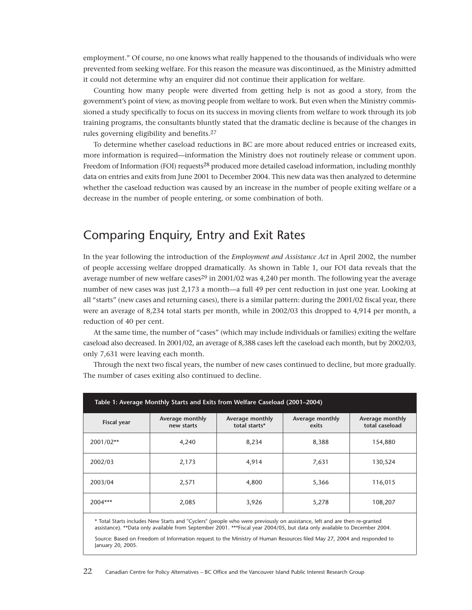<span id="page-21-0"></span>employment." Of course, no one knows what really happened to the thousands of individuals who were prevented from seeking welfare. For this reason the measure was discontinued, as the Ministry admitted it could not determine why an enquirer did not continue their application for welfare.

Counting how many people were diverted from getting help is not as good a story, from the government's point of view, as moving people from welfare to work. But even when the Ministry commissioned a study specifically to focus on its success in moving clients from welfare to work through its job training programs, the consultants bluntly stated that the dramatic decline is because of the changes in rules governing eligibility and benefits.27

To determine whether caseload reductions in BC are more about reduced entries or increased exits, more information is required—information the Ministry does not routinely release or comment upon. Freedom of Information (FOI) requests<sup>28</sup> produced more detailed caseload information, including monthly data on entries and exits from June 2001 to December 2004. This new data was then analyzed to determine whether the caseload reduction was caused by an increase in the number of people exiting welfare or a decrease in the number of people entering, or some combination of both.

## Comparing Enquiry, Entry and Exit Rates

In the year following the introduction of the *Employment and Assistance Act* in April 2002, the number of people accessing welfare dropped dramatically. As shown in Table 1, our FOI data reveals that the average number of new welfare cases<sup>29</sup> in 2001/02 was 4,240 per month. The following year the average number of new cases was just 2,173 a month—a full 49 per cent reduction in just one year. Looking at all "starts" (new cases and returning cases), there is a similar pattern: during the 2001/02 fiscal year, there were an average of 8,234 total starts per month, while in 2002/03 this dropped to 4,914 per month, a reduction of 40 per cent.

At the same time, the number of "cases" (which may include individuals or families) exiting the welfare caseload also decreased. In 2001/02, an average of 8,388 cases left the caseload each month, but by 2002/03, only 7,631 were leaving each month.

| Table 1: Average Monthly Starts and Exits from Welfare Caseload (2001–2004) |                               |                                                              |       |                                   |  |  |  |
|-----------------------------------------------------------------------------|-------------------------------|--------------------------------------------------------------|-------|-----------------------------------|--|--|--|
| <b>Fiscal year</b>                                                          | Average monthly<br>new starts | Average monthly<br>Average monthly<br>total starts*<br>exits |       | Average monthly<br>total caseload |  |  |  |
| 2001/02**                                                                   | 4,240                         | 8,234                                                        | 8,388 | 154,880                           |  |  |  |
| 2002/03                                                                     | 2,173                         | 4,914                                                        | 7,631 | 130,524                           |  |  |  |
| 2003/04                                                                     | 2,571                         | 4,800                                                        | 5,366 | 116,015                           |  |  |  |
| 2004***                                                                     | 2,085                         | 3,926                                                        | 5,278 | 108,207                           |  |  |  |

Through the next two fiscal years, the number of new cases continued to decline, but more gradually. The number of cases exiting also continued to decline.

\* Total Starts includes New Starts and "Cyclers" (people who were previously on assistance, left and are then re-granted assistance). \*\*Data only available from September 2001. \*\*\*Fiscal year 2004/05, but data only available to December 2004.

Source: Based on Freedom of Information request to the Ministry of Human Resources filed May 27, 2004 and responded to January 20, 2005.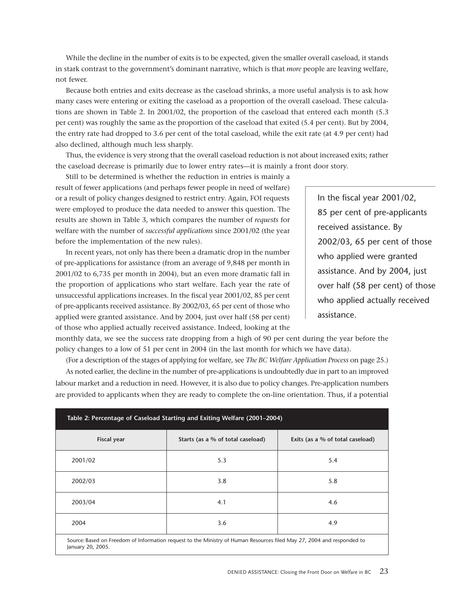While the decline in the number of exits is to be expected, given the smaller overall caseload, it stands in stark contrast to the government's dominant narrative, which is that *more* people are leaving welfare, not fewer.

Because both entries and exits decrease as the caseload shrinks, a more useful analysis is to ask how many cases were entering or exiting the caseload as a proportion of the overall caseload. These calculations are shown in Table 2. In 2001/02, the proportion of the caseload that entered each month (5.3 per cent) was roughly the same as the proportion of the caseload that exited (5.4 per cent). But by 2004, the entry rate had dropped to 3.6 per cent of the total caseload, while the exit rate (at 4.9 per cent) had also declined, although much less sharply.

Thus, the evidence is very strong that the overall caseload reduction is not about increased exits; rather the caseload decrease is primarily due to lower entry rates—it is mainly a front door story.

Still to be determined is whether the reduction in entries is mainly a result of fewer applications (and perhaps fewer people in need of welfare) or a result of policy changes designed to restrict entry. Again, FOI requests were employed to produce the data needed to answer this question. The results are shown in Table 3, which compares the number of *requests* for welfare with the number of *successful applications* since 2001/02 (the year before the implementation of the new rules).

In recent years, not only has there been a dramatic drop in the number of pre-applications for assistance (from an average of 9,848 per month in 2001/02 to 6,735 per month in 2004), but an even more dramatic fall in the proportion of applications who start welfare. Each year the rate of unsuccessful applications increases. In the fiscal year 2001/02, 85 per cent of pre-applicants received assistance. By 2002/03, 65 per cent of those who applied were granted assistance. And by 2004, just over half (58 per cent) of those who applied actually received assistance. Indeed, looking at the

In the fiscal year 2001/02, 85 per cent of pre-applicants received assistance. By 2002/03, 65 per cent of those who applied were granted assistance. And by 2004, just over half (58 per cent) of those who applied actually received assistance.

monthly data, we see the success rate dropping from a high of 90 per cent during the year before the policy changes to a low of 51 per cent in 2004 (in the last month for which we have data).

(For a description of the stages of applying for welfare, see *The BC Welfare Application Process* on page 25.)

As noted earlier, the decline in the number of pre-applications is undoubtedly due in part to an improved labour market and a reduction in need. However, it is also due to policy changes. Pre-application numbers are provided to applicants when they are ready to complete the on-line orientation. Thus, if a potential

| Table 2: Percentage of Caseload Starting and Exiting Welfare (2001–2004) |                                                                                                                        |                                  |  |  |
|--------------------------------------------------------------------------|------------------------------------------------------------------------------------------------------------------------|----------------------------------|--|--|
| <b>Fiscal year</b>                                                       | Starts (as a % of total caseload)                                                                                      | Exits (as a % of total caseload) |  |  |
| 2001/02                                                                  | 5.3                                                                                                                    | 5.4                              |  |  |
| 2002/03                                                                  | 3.8                                                                                                                    | 5.8                              |  |  |
| 2003/04                                                                  | 4.1                                                                                                                    | 4.6                              |  |  |
| 2004                                                                     | 3.6                                                                                                                    | 4.9                              |  |  |
| January 20, 2005.                                                        | Source: Based on Freedom of Information request to the Ministry of Human Resources filed May 27, 2004 and responded to |                                  |  |  |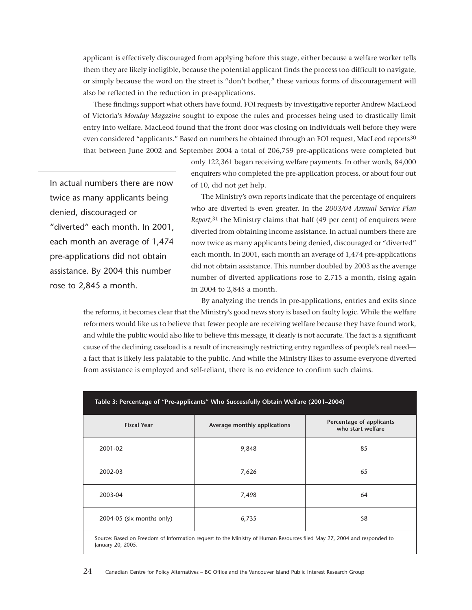applicant is effectively discouraged from applying before this stage, either because a welfare worker tells them they are likely ineligible, because the potential applicant finds the process too difficult to navigate, or simply because the word on the street is "don't bother," these various forms of discouragement will also be reflected in the reduction in pre-applications.

These findings support what others have found. FOI requests by investigative reporter Andrew MacLeod of Victoria's *Monday Magazine* sought to expose the rules and processes being used to drastically limit entry into welfare. MacLeod found that the front door was closing on individuals well before they were even considered "applicants." Based on numbers he obtained through an FOI request, MacLeod reports<sup>30</sup> that between June 2002 and September 2004 a total of 206,759 pre-applications were completed but

In actual numbers there are now twice as many applicants being denied, discouraged or "diverted" each month. In 2001, each month an average of 1,474 pre-applications did not obtain assistance. By 2004 this number rose to 2,845 a month.

only 122,361 began receiving welfare payments. In other words, 84,000 enquirers who completed the pre-application process, or about four out of 10, did not get help.

The Ministry's own reports indicate that the percentage of enquirers who are diverted is even greater. In the *2003/04 Annual Service Plan Report*,<sup>31</sup> the Ministry claims that half (49 per cent) of enquirers were diverted from obtaining income assistance. In actual numbers there are now twice as many applicants being denied, discouraged or "diverted" each month. In 2001, each month an average of 1,474 pre-applications did not obtain assistance. This number doubled by 2003 as the average number of diverted applications rose to 2,715 a month, rising again in 2004 to 2,845 a month.

By analyzing the trends in pre-applications, entries and exits since the reforms, it becomes clear that the Ministry's good news story is based on faulty logic. While the welfare reformers would like us to believe that fewer people are receiving welfare because they have found work, and while the public would also like to believe this message, it clearly is not accurate. The fact is a significant cause of the declining caseload is a result of increasingly restricting entry regardless of people's real need a fact that is likely less palatable to the public. And while the Ministry likes to assume everyone diverted from assistance is employed and self-reliant, there is no evidence to confirm such claims.

| Table 3: Percentage of "Pre-applicants" Who Successfully Obtain Welfare (2001–2004)                                                         |                              |                                               |  |  |
|---------------------------------------------------------------------------------------------------------------------------------------------|------------------------------|-----------------------------------------------|--|--|
| <b>Fiscal Year</b>                                                                                                                          | Average monthly applications | Percentage of applicants<br>who start welfare |  |  |
| 2001-02                                                                                                                                     | 9,848                        | 85                                            |  |  |
| 2002-03                                                                                                                                     | 7,626                        | 65                                            |  |  |
| 2003-04                                                                                                                                     | 7,498                        | 64                                            |  |  |
| 2004-05 (six months only)                                                                                                                   | 6,735                        | 58                                            |  |  |
| Source: Based on Freedom of Information request to the Ministry of Human Resources filed May 27, 2004 and responded to<br>January 20, 2005. |                              |                                               |  |  |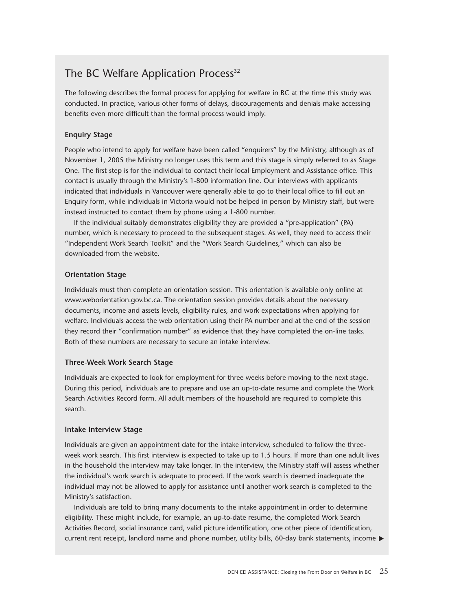### The BC Welfare Application Process<sup>32</sup>

The following describes the formal process for applying for welfare in BC at the time this study was conducted. In practice, various other forms of delays, discouragements and denials make accessing benefits even more difficult than the formal process would imply.

#### **Enquiry Stage**

People who intend to apply for welfare have been called "enquirers" by the Ministry, although as of November 1, 2005 the Ministry no longer uses this term and this stage is simply referred to as Stage One. The first step is for the individual to contact their local Employment and Assistance office. This contact is usually through the Ministry's 1-800 information line. Our interviews with applicants indicated that individuals in Vancouver were generally able to go to their local office to fill out an Enquiry form, while individuals in Victoria would not be helped in person by Ministry staff, but were instead instructed to contact them by phone using a 1-800 number.

If the individual suitably demonstrates eligibility they are provided a "pre-application" (PA) number, which is necessary to proceed to the subsequent stages. As well, they need to access their "Independent Work Search Toolkit" and the "Work Search Guidelines," which can also be downloaded from the website.

#### **Orientation Stage**

Individuals must then complete an orientation session. This orientation is available only online at www.weborientation.gov.bc.ca. The orientation session provides details about the necessary documents, income and assets levels, eligibility rules, and work expectations when applying for welfare. Individuals access the web orientation using their PA number and at the end of the session they record their "confirmation number" as evidence that they have completed the on-line tasks. Both of these numbers are necessary to secure an intake interview.

#### **Three-Week Work Search Stage**

Individuals are expected to look for employment for three weeks before moving to the next stage. During this period, individuals are to prepare and use an up-to-date resume and complete the Work Search Activities Record form. All adult members of the household are required to complete this search.

#### **Intake Interview Stage**

Individuals are given an appointment date for the intake interview, scheduled to follow the threeweek work search. This first interview is expected to take up to 1.5 hours. If more than one adult lives in the household the interview may take longer. In the interview, the Ministry staff will assess whether the individual's work search is adequate to proceed. If the work search is deemed inadequate the individual may not be allowed to apply for assistance until another work search is completed to the Ministry's satisfaction.

Individuals are told to bring many documents to the intake appointment in order to determine eligibility. These might include, for example, an up-to-date resume, the completed Work Search Activities Record, social insurance card, valid picture identification, one other piece of identification, current rent receipt, landlord name and phone number, utility bills, 60-day bank statements, income ▶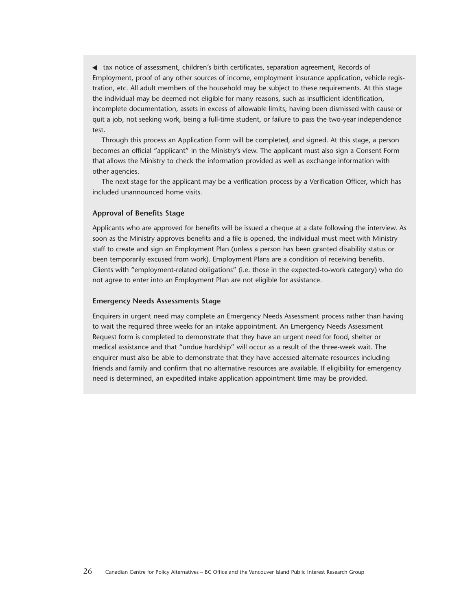tax notice of assessment, children's birth certificates, separation agreement, Records of ▼Employment, proof of any other sources of income, employment insurance application, vehicle registration, etc. All adult members of the household may be subject to these requirements. At this stage the individual may be deemed not eligible for many reasons, such as insufficient identification, incomplete documentation, assets in excess of allowable limits, having been dismissed with cause or quit a job, not seeking work, being a full-time student, or failure to pass the two-year independence test.

Through this process an Application Form will be completed, and signed. At this stage, a person becomes an official "applicant" in the Ministry's view. The applicant must also sign a Consent Form that allows the Ministry to check the information provided as well as exchange information with other agencies.

The next stage for the applicant may be a verification process by a Verification Officer, which has included unannounced home visits.

#### **Approval of Benefits Stage**

Applicants who are approved for benefits will be issued a cheque at a date following the interview. As soon as the Ministry approves benefits and a file is opened, the individual must meet with Ministry staff to create and sign an Employment Plan (unless a person has been granted disability status or been temporarily excused from work). Employment Plans are a condition of receiving benefits. Clients with "employment-related obligations" (i.e. those in the expected-to-work category) who do not agree to enter into an Employment Plan are not eligible for assistance.

#### **Emergency Needs Assessments Stage**

Enquirers in urgent need may complete an Emergency Needs Assessment process rather than having to wait the required three weeks for an intake appointment. An Emergency Needs Assessment Request form is completed to demonstrate that they have an urgent need for food, shelter or medical assistance and that "undue hardship" will occur as a result of the three-week wait. The enquirer must also be able to demonstrate that they have accessed alternate resources including friends and family and confirm that no alternative resources are available. If eligibility for emergency need is determined, an expedited intake application appointment time may be provided.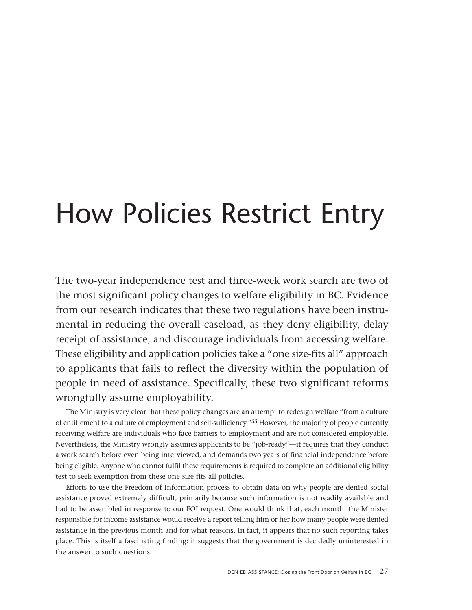## <span id="page-26-0"></span>How Policies Restrict Entry

The two-year independence test and three-week work search are two of the most significant policy changes to welfare eligibility in BC. Evidence from our research indicates that these two regulations have been instrumental in reducing the overall caseload, as they deny eligibility, delay receipt of assistance, and discourage individuals from accessing welfare. These eligibility and application policies take a "one size-fits all" approach to applicants that fails to reflect the diversity within the population of people in need of assistance. Specifically, these two significant reforms wrongfully assume employability.

The Ministry is very clear that these policy changes are an attempt to redesign welfare "from a culture of entitlement to a culture of employment and self-sufficiency."33 However, the majority of people currently receiving welfare are individuals who face barriers to employment and are not considered employable. Nevertheless, the Ministry wrongly assumes applicants to be "job-ready"—it requires that they conduct a work search before even being interviewed, and demands two years of financial independence before being eligible. Anyone who cannot fulfil these requirements is required to complete an additional eligibility test to seek exemption from these one-size-fits-all policies.

Efforts to use the Freedom of Information process to obtain data on why people are denied social assistance proved extremely difficult, primarily because such information is not readily available and had to be assembled in response to our FOI request. One would think that, each month, the Minister responsible for income assistance would receive a report telling him or her how many people were denied assistance in the previous month and for what reasons. In fact, it appears that no such reporting takes place. This is itself a fascinating finding: it suggests that the government is decidedly uninterested in the answer to such questions.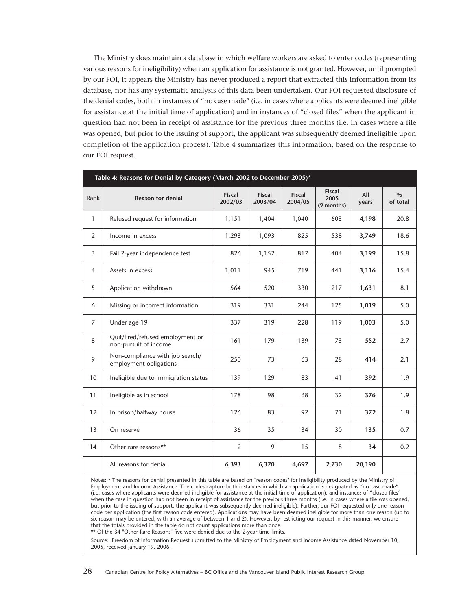The Ministry does maintain a database in which welfare workers are asked to enter codes (representing various reasons for ineligibility) when an application for assistance is not granted. However, until prompted by our FOI, it appears the Ministry has never produced a report that extracted this information from its database, nor has any systematic analysis of this data been undertaken. Our FOI requested disclosure of the denial codes, both in instances of "no case made" (i.e. in cases where applicants were deemed ineligible for assistance at the initial time of application) and in instances of "closed files" when the applicant in question had not been in receipt of assistance for the previous three months (i.e. in cases where a file was opened, but prior to the issuing of support, the applicant was subsequently deemed ineligible upon completion of the application process). Table 4 summarizes this information, based on the response to our FOI request.

| Table 4: Reasons for Denial by Category (March 2002 to December 2005)* |                                                           |                          |                          |                          |                                     |              |                  |  |
|------------------------------------------------------------------------|-----------------------------------------------------------|--------------------------|--------------------------|--------------------------|-------------------------------------|--------------|------------------|--|
| Rank                                                                   | <b>Reason for denial</b>                                  | <b>Fiscal</b><br>2002/03 | <b>Fiscal</b><br>2003/04 | <b>Fiscal</b><br>2004/05 | <b>Fiscal</b><br>2005<br>(9 months) | All<br>years | $\%$<br>of total |  |
| $\mathbf{1}$                                                           | Refused request for information                           | 1,151                    | 1,404                    | 1,040                    | 603                                 | 4,198        | 20.8             |  |
| 2                                                                      | Income in excess                                          |                          | 1,093                    | 825                      | 538                                 | 3,749        | 18.6             |  |
| 3                                                                      | Fail 2-year independence test                             |                          | 1,152                    | 817                      | 404                                 | 3,199        | 15.8             |  |
| $\overline{4}$                                                         | Assets in excess                                          | 1,011                    | 945                      | 719                      | 441                                 | 3,116        | 15.4             |  |
| 5                                                                      | Application withdrawn                                     | 564                      | 520                      | 330                      | 217                                 | 1,631        | 8.1              |  |
| 6                                                                      | Missing or incorrect information                          | 319                      | 331                      | 244                      | 125                                 | 1,019        | 5.0              |  |
| $\overline{7}$                                                         | Under age 19                                              | 337                      | 319                      | 228                      | 119                                 | 1,003        | 5.0              |  |
| 8                                                                      | Quit/fired/refused employment or<br>non-pursuit of income | 161                      | 179                      | 139                      | 73                                  | 552          | 2.7              |  |
| 9                                                                      | Non-compliance with job search/<br>employment obligations | 250                      | 73                       | 63                       | 28                                  | 414          | 2.1              |  |
| 10 <sup>°</sup>                                                        | Ineligible due to immigration status                      | 139                      | 129                      | 83                       | 41                                  | 392          | 1.9              |  |
| 11                                                                     | Ineligible as in school                                   | 178                      | 98                       | 68                       | 32                                  | 376          | 1.9              |  |
| 12                                                                     | In prison/halfway house                                   | 126                      | 83                       | 92                       | 71                                  | 372          | 1.8              |  |
| 13                                                                     | On reserve                                                | 36                       | 35                       | 34                       | 30                                  | 135          | 0.7              |  |
| 14                                                                     | Other rare reasons**                                      | 2                        | 9                        | 15                       | 8                                   | 34           | 0.2              |  |
|                                                                        | All reasons for denial                                    | 6,393                    | 6,370                    | 4,697                    | 2,730                               | 20,190       |                  |  |

Notes: \* The reasons for denial presented in this table are based on "reason codes" for ineligibility produced by the Ministry of Employment and Income Assistance. The codes capture both instances in which an application is designated as "no case made" (i.e. cases where applicants were deemed ineligible for assistance at the initial time of application), and instances of "closed files" when the case in question had not been in receipt of assistance for the previous three months (i.e. in cases where a file was opened, but prior to the issuing of support, the applicant was subsequently deemed ineligible). Further, our FOI requested only one reason code per application (the first reason code entered). Applications may have been deemed ineligible for more than one reason (up to six reason may be entered, with an average of between 1 and 2). However, by restricting our request in this manner, we ensure that the totals provided in the table do not count applications more than once.

\*\* Of the 34 "Other Rare Reasons" five were denied due to the 2-year time limits.

Source: Freedom of Information Request submitted to the Ministry of Employment and Income Assistance dated November 10, 2005, received January 19, 2006.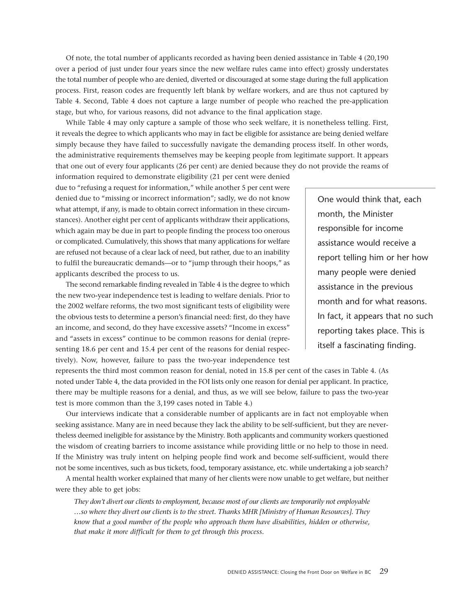Of note, the total number of applicants recorded as having been denied assistance in Table 4 (20,190 over a period of just under four years since the new welfare rules came into effect) grossly understates the total number of people who are denied, diverted or discouraged at some stage during the full application process. First, reason codes are frequently left blank by welfare workers, and are thus not captured by Table 4. Second, Table 4 does not capture a large number of people who reached the pre-application stage, but who, for various reasons, did not advance to the final application stage.

While Table 4 may only capture a sample of those who seek welfare, it is nonetheless telling. First, it reveals the degree to which applicants who may in fact be eligible for assistance are being denied welfare simply because they have failed to successfully navigate the demanding process itself. In other words, the administrative requirements themselves may be keeping people from legitimate support. It appears that one out of every four applicants (26 per cent) are denied because they do not provide the reams of

information required to demonstrate eligibility (21 per cent were denied due to "refusing a request for information," while another 5 per cent were denied due to "missing or incorrect information"; sadly, we do not know what attempt, if any, is made to obtain correct information in these circumstances). Another eight per cent of applicants withdraw their applications, which again may be due in part to people finding the process too onerous or complicated. Cumulatively, this shows that many applications for welfare are refused not because of a clear lack of need, but rather, due to an inability to fulfil the bureaucratic demands—or to "jump through their hoops," as applicants described the process to us.

The second remarkable finding revealed in Table 4 is the degree to which the new two-year independence test is leading to welfare denials. Prior to the 2002 welfare reforms, the two most significant tests of eligibility were the obvious tests to determine a person's financial need: first, do they have an income, and second, do they have excessive assets? "Income in excess" and "assets in excess" continue to be common reasons for denial (representing 18.6 per cent and 15.4 per cent of the reasons for denial respectively). Now, however, failure to pass the two-year independence test One would think that, each month, the Minister responsible for income assistance would receive a report telling him or her how many people were denied assistance in the previous month and for what reasons. In fact, it appears that no such reporting takes place. This is itself a fascinating finding.

represents the third most common reason for denial, noted in 15.8 per cent of the cases in Table 4. (As noted under Table 4, the data provided in the FOI lists only one reason for denial per applicant. In practice, there may be multiple reasons for a denial, and thus, as we will see below, failure to pass the two-year test is more common than the 3,199 cases noted in Table 4.)

Our interviews indicate that a considerable number of applicants are in fact not employable when seeking assistance. Many are in need because they lack the ability to be self-sufficient, but they are nevertheless deemed ineligible for assistance by the Ministry. Both applicants and community workers questioned the wisdom of creating barriers to income assistance while providing little or no help to those in need. If the Ministry was truly intent on helping people find work and become self-sufficient, would there not be some incentives, such as bus tickets, food, temporary assistance, etc. while undertaking a job search?

A mental health worker explained that many of her clients were now unable to get welfare, but neither were they able to get jobs:

*They don't divert our clients to employment, because most of our clients are temporarily not employable …so where they divert our clients is to the street. Thanks MHR [Ministry of Human Resources]. They know that a good number of the people who approach them have disabilities, hidden or otherwise, that make it more difficult for them to get through this process.*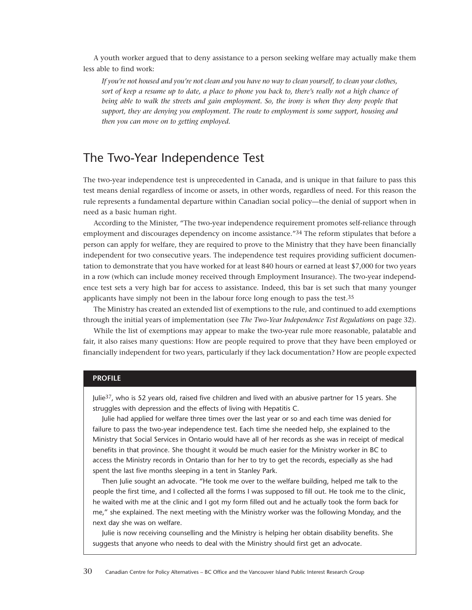A youth worker argued that to deny assistance to a person seeking welfare may actually make them less able to find work:

<span id="page-29-0"></span>*If you're not housed and you're not clean and you have no way to clean yourself, to clean your clothes, sort of keep a resume up to date, a place to phone you back to, there's really not a high chance of being able to walk the streets and gain employment. So, the irony is when they deny people that support, they are denying you employment. The route to employment is some support, housing and then you can move on to getting employed.*

### The Two-Year Independence Test

The two-year independence test is unprecedented in Canada, and is unique in that failure to pass this test means denial regardless of income or assets, in other words, regardless of need. For this reason the rule represents a fundamental departure within Canadian social policy—the denial of support when in need as a basic human right.

According to the Minister, "The two-year independence requirement promotes self-reliance through employment and discourages dependency on income assistance.<sup>"34</sup> The reform stipulates that before a person can apply for welfare, they are required to prove to the Ministry that they have been financially independent for two consecutive years. The independence test requires providing sufficient documentation to demonstrate that you have worked for at least 840 hours or earned at least \$7,000 for two years in a row (which can include money received through Employment Insurance). The two-year independence test sets a very high bar for access to assistance. Indeed, this bar is set such that many younger applicants have simply not been in the labour force long enough to pass the test.35

The Ministry has created an extended list of exemptions to the rule, and continued to add exemptions through the initial years of implementation (see *The Two-Year Independence Test Regulations* on page 32).

While the list of exemptions may appear to make the two-year rule more reasonable, palatable and fair, it also raises many questions: How are people required to prove that they have been employed or financially independent for two years, particularly if they lack documentation? How are people expected

#### **PROFILE**

Julie<sup>37</sup>, who is 52 years old, raised five children and lived with an abusive partner for 15 years. She struggles with depression and the effects of living with Hepatitis C.

Julie had applied for welfare three times over the last year or so and each time was denied for failure to pass the two-year independence test. Each time she needed help, she explained to the Ministry that Social Services in Ontario would have all of her records as she was in receipt of medical benefits in that province. She thought it would be much easier for the Ministry worker in BC to access the Ministry records in Ontario than for her to try to get the records, especially as she had spent the last five months sleeping in a tent in Stanley Park.

Then Julie sought an advocate. "He took me over to the welfare building, helped me talk to the people the first time, and I collected all the forms I was supposed to fill out. He took me to the clinic, he waited with me at the clinic and I got my form filled out and he actually took the form back for me," she explained. The next meeting with the Ministry worker was the following Monday, and the next day she was on welfare.

Julie is now receiving counselling and the Ministry is helping her obtain disability benefits. She suggests that anyone who needs to deal with the Ministry should first get an advocate.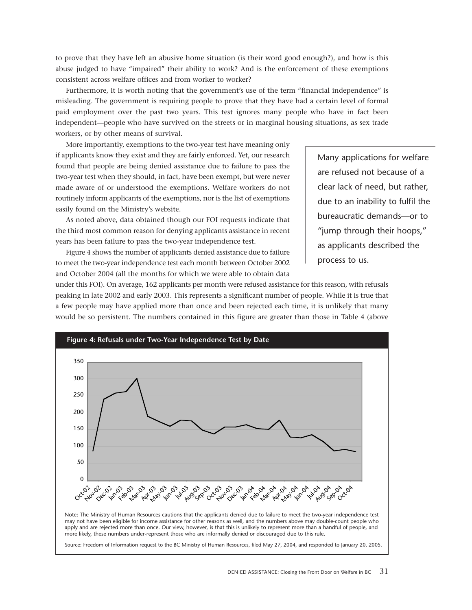to prove that they have left an abusive home situation (is their word good enough?), and how is this abuse judged to have "impaired" their ability to work? And is the enforcement of these exemptions consistent across welfare offices and from worker to worker?

Furthermore, it is worth noting that the government's use of the term "financial independence" is misleading. The government is requiring people to prove that they have had a certain level of formal paid employment over the past two years. This test ignores many people who have in fact been independent—people who have survived on the streets or in marginal housing situations, as sex trade workers, or by other means of survival.

More importantly, exemptions to the two-year test have meaning only if applicants know they exist and they are fairly enforced. Yet, our research found that people are being denied assistance due to failure to pass the two-year test when they should, in fact, have been exempt, but were never made aware of or understood the exemptions. Welfare workers do not routinely inform applicants of the exemptions, nor is the list of exemptions easily found on the Ministry's website.

As noted above, data obtained though our FOI requests indicate that the third most common reason for denying applicants assistance in recent years has been failure to pass the two-year independence test.

Figure 4 shows the number of applicants denied assistance due to failure to meet the two-year independence test each month between October 2002 and October 2004 (all the months for which we were able to obtain data Many applications for welfare are refused not because of a clear lack of need, but rather, due to an inability to fulfil the bureaucratic demands—or to "jump through their hoops," as applicants described the process to us.

under this FOI). On average, 162 applicants per month were refused assistance for this reason, with refusals peaking in late 2002 and early 2003. This represents a significant number of people. While it is true that a few people may have applied more than once and been rejected each time, it is unlikely that many would be so persistent. The numbers contained in this figure are greater than those in Table 4 (above

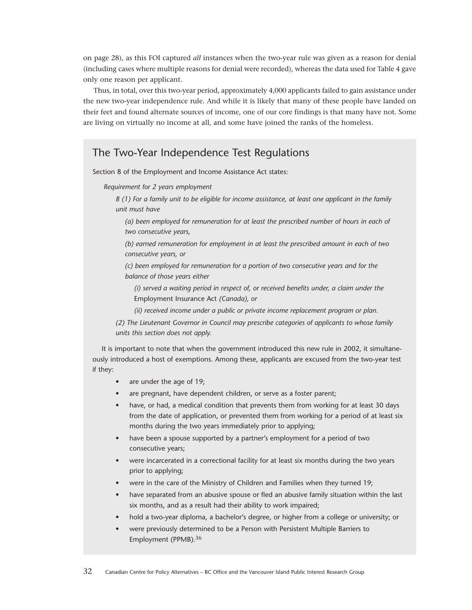on page 28), as this FOI captured *all* instances when the two-year rule was given as a reason for denial (including cases where multiple reasons for denial were recorded), whereas the data used for Table 4 gave only one reason per applicant.

Thus, in total, over this two-year period, approximately 4,000 applicants failed to gain assistance under the new two-year independence rule. And while it is likely that many of these people have landed on their feet and found alternate sources of income, one of our core findings is that many have not. Some are living on virtually no income at all, and some have joined the ranks of the homeless.

### The Two-Year Independence Test Regulations

Section 8 of the Employment and Income Assistance Act states:

*Requirement for 2 years employment*

*8 (1) For a family unit to be eligible for income assistance, at least one applicant in the family unit must have*

*(a) been employed for remuneration for at least the prescribed number of hours in each of two consecutive years,*

*(b) earned remuneration for employment in at least the prescribed amount in each of two consecutive years, or*

*(c) been employed for remuneration for a portion of two consecutive years and for the balance of those years either*

*(i) served a waiting period in respect of, or received benefits under, a claim under the* Employment Insurance Act *(Canada), or*

*(ii) received income under a public or private income replacement program or plan.*

*(2) The Lieutenant Governor in Council may prescribe categories of applicants to whose family units this section does not apply.*

It is important to note that when the government introduced this new rule in 2002, it simultaneously introduced a host of exemptions. Among these, applicants are excused from the two-year test if they:

- are under the age of 19;
- are pregnant, have dependent children, or serve as a foster parent;
- have, or had, a medical condition that prevents them from working for at least 30 days from the date of application, or prevented them from working for a period of at least six months during the two years immediately prior to applying;
- have been a spouse supported by a partner's employment for a period of two consecutive years;
- were incarcerated in a correctional facility for at least six months during the two years prior to applying;
- were in the care of the Ministry of Children and Families when they turned 19;
- have separated from an abusive spouse or fled an abusive family situation within the last six months, and as a result had their ability to work impaired;
- hold a two-year diploma, a bachelor's degree, or higher from a college or university; or
- were previously determined to be a Person with Persistent Multiple Barriers to Employment (PPMB).36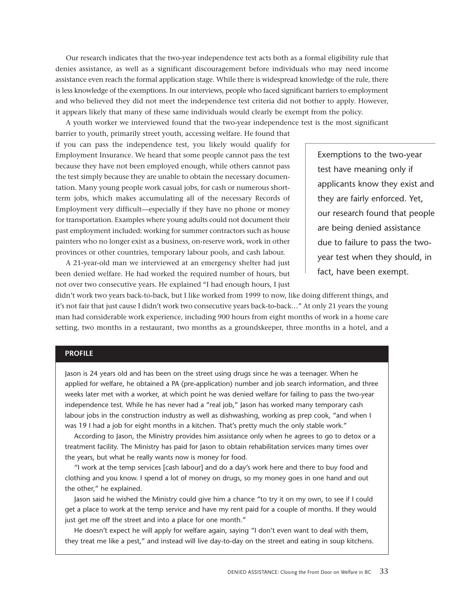Our research indicates that the two-year independence test acts both as a formal eligibility rule that denies assistance, as well as a significant discouragement before individuals who may need income assistance even reach the formal application stage. While there is widespread knowledge of the rule, there is less knowledge of the exemptions. In our interviews, people who faced significant barriers to employment and who believed they did not meet the independence test criteria did not bother to apply. However, it appears likely that many of these same individuals would clearly be exempt from the policy.

A youth worker we interviewed found that the two-year independence test is the most significant

barrier to youth, primarily street youth, accessing welfare. He found that if you can pass the independence test, you likely would qualify for Employment Insurance. We heard that some people cannot pass the test because they have not been employed enough, while others cannot pass the test simply because they are unable to obtain the necessary documentation. Many young people work casual jobs, for cash or numerous shortterm jobs, which makes accumulating all of the necessary Records of Employment very difficult—especially if they have no phone or money for transportation. Examples where young adults could not document their past employment included: working for summer contractors such as house painters who no longer exist as a business, on-reserve work, work in other provinces or other countries, temporary labour pools, and cash labour.

A 21-year-old man we interviewed at an emergency shelter had just been denied welfare. He had worked the required number of hours, but not over two consecutive years. He explained "I had enough hours, I just Exemptions to the two-year test have meaning only if applicants know they exist and they are fairly enforced. Yet, our research found that people are being denied assistance due to failure to pass the twoyear test when they should, in fact, have been exempt.

didn't work two years back-to-back, but I like worked from 1999 to now, like doing different things, and it's not fair that just cause I didn't work two consecutive years back-to-back…" At only 21 years the young man had considerable work experience, including 900 hours from eight months of work in a home care setting, two months in a restaurant, two months as a groundskeeper, three months in a hotel, and a

#### **PROFILE**

Jason is 24 years old and has been on the street using drugs since he was a teenager. When he applied for welfare, he obtained a PA (pre-application) number and job search information, and three weeks later met with a worker, at which point he was denied welfare for failing to pass the two-year independence test. While he has never had a "real job," Jason has worked many temporary cash labour jobs in the construction industry as well as dishwashing, working as prep cook, "and when I was 19 I had a job for eight months in a kitchen. That's pretty much the only stable work."

According to Jason, the Ministry provides him assistance only when he agrees to go to detox or a treatment facility. The Ministry has paid for Jason to obtain rehabilitation services many times over the years, but what he really wants now is money for food.

"I work at the temp services [cash labour] and do a day's work here and there to buy food and clothing and you know. I spend a lot of money on drugs, so my money goes in one hand and out the other," he explained.

Jason said he wished the Ministry could give him a chance "to try it on my own, to see if I could get a place to work at the temp service and have my rent paid for a couple of months. If they would just get me off the street and into a place for one month."

He doesn't expect he will apply for welfare again, saying "I don't even want to deal with them, they treat me like a pest," and instead will live day-to-day on the street and eating in soup kitchens.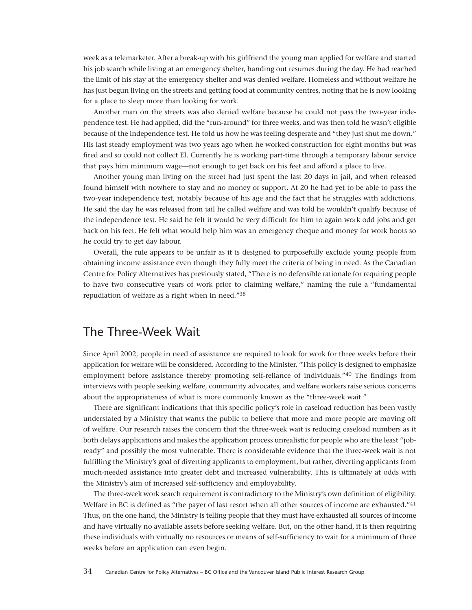<span id="page-33-0"></span>week as a telemarketer. After a break-up with his girlfriend the young man applied for welfare and started his job search while living at an emergency shelter, handing out resumes during the day. He had reached the limit of his stay at the emergency shelter and was denied welfare. Homeless and without welfare he has just begun living on the streets and getting food at community centres, noting that he is now looking for a place to sleep more than looking for work.

Another man on the streets was also denied welfare because he could not pass the two-year independence test. He had applied, did the "run-around" for three weeks, and was then told he wasn't eligible because of the independence test. He told us how he was feeling desperate and "they just shut me down." His last steady employment was two years ago when he worked construction for eight months but was fired and so could not collect EI. Currently he is working part-time through a temporary labour service that pays him minimum wage—not enough to get back on his feet and afford a place to live.

Another young man living on the street had just spent the last 20 days in jail, and when released found himself with nowhere to stay and no money or support. At 20 he had yet to be able to pass the two-year independence test, notably because of his age and the fact that he struggles with addictions. He said the day he was released from jail he called welfare and was told he wouldn't qualify because of the independence test. He said he felt it would be very difficult for him to again work odd jobs and get back on his feet. He felt what would help him was an emergency cheque and money for work boots so he could try to get day labour.

Overall, the rule appears to be unfair as it is designed to purposefully exclude young people from obtaining income assistance even though they fully meet the criteria of being in need. As the Canadian Centre for Policy Alternatives has previously stated, "There is no defensible rationale for requiring people to have two consecutive years of work prior to claiming welfare," naming the rule a "fundamental repudiation of welfare as a right when in need."38

## The Three-Week Wait

Since April 2002, people in need of assistance are required to look for work for three weeks before their application for welfare will be considered. According to the Minister, "This policy is designed to emphasize employment before assistance thereby promoting self-reliance of individuals."40 The findings from interviews with people seeking welfare, community advocates, and welfare workers raise serious concerns about the appropriateness of what is more commonly known as the "three-week wait."

There are significant indications that this specific policy's role in caseload reduction has been vastly understated by a Ministry that wants the public to believe that more and more people are moving off of welfare. Our research raises the concern that the three-week wait is reducing caseload numbers as it both delays applications and makes the application process unrealistic for people who are the least "jobready" and possibly the most vulnerable. There is considerable evidence that the three-week wait is not fulfilling the Ministry's goal of diverting applicants to employment, but rather, diverting applicants from much-needed assistance into greater debt and increased vulnerability. This is ultimately at odds with the Ministry's aim of increased self-sufficiency and employability.

The three-week work search requirement is contradictory to the Ministry's own definition of eligibility. Welfare in BC is defined as "the payer of last resort when all other sources of income are exhausted."<sup>41</sup> Thus, on the one hand, the Ministry is telling people that they must have exhausted all sources of income and have virtually no available assets before seeking welfare. But, on the other hand, it is then requiring these individuals with virtually no resources or means of self-sufficiency to wait for a minimum of three weeks before an application can even begin.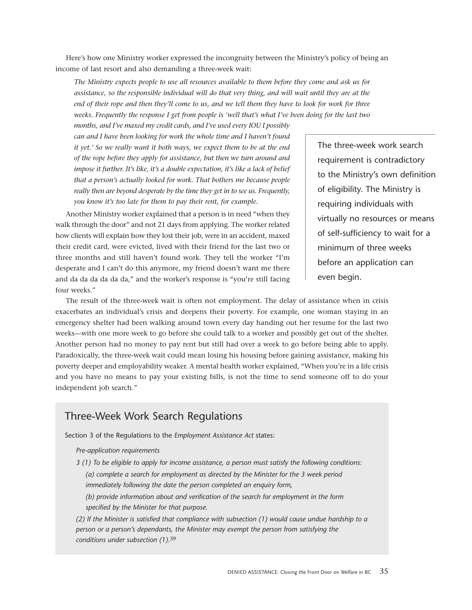Here's how one Ministry worker expressed the incongruity between the Ministry's policy of being an income of last resort and also demanding a three-week wait:

*The Ministry expects people to use all resources available to them before they come and ask us for assistance, so the responsible individual will do that very thing, and will wait until they are at the end of their rope and then they'll come to us, and we tell them they have to look for work for three weeks. Frequently the response I get from people is 'well that's what I've been doing for the last two*

*months, and I've maxed my credit cards, and I've used every IOU I possibly can and I have been looking for work the whole time and I haven't found it yet.' So we really want it both ways, we expect them to be at the end of the rope before they apply for assistance, but then we turn around and impose it further. It's like, it's a double expectation, it's like a lack of belief that a person's actually looked for work. That bothers me because people really then are beyond desperate by the time they get in to see us. Frequently, you know it's too late for them to pay their rent, for example.*

Another Ministry worker explained that a person is in need "when they walk through the door" and not 21 days from applying. The worker related how clients will explain how they lost their job, were in an accident, maxed their credit card, were evicted, lived with their friend for the last two or three months and still haven't found work. They tell the worker "I'm desperate and I can't do this anymore, my friend doesn't want me there and da da da da da da," and the worker's response is "you're still facing four weeks."

The three-week work search requirement is contradictory to the Ministry's own definition of eligibility. The Ministry is requiring individuals with virtually no resources or means of self-sufficiency to wait for a minimum of three weeks before an application can even begin.

The result of the three-week wait is often not employment. The delay of assistance when in crisis exacerbates an individual's crisis and deepens their poverty. For example, one woman staying in an emergency shelter had been walking around town every day handing out her resume for the last two weeks—with one more week to go before she could talk to a worker and possibly get out of the shelter. Another person had no money to pay rent but still had over a week to go before being able to apply. Paradoxically, the three-week wait could mean losing his housing before gaining assistance, making his poverty deeper and employability weaker. A mental health worker explained, "When you're in a life crisis and you have no means to pay your existing bills, is not the time to send someone off to do your independent job search."

### Three-Week Work Search Regulations

Section 3 of the Regulations to the *Employment Assistance Act* states:

*Pre-application requirements*

*3 (1) To be eligible to apply for income assistance, a person must satisfy the following conditions: (a) complete a search for employment as directed by the Minister for the 3 week period immediately following the date the person completed an enquiry form,*

*(b) provide information about and verification of the search for employment in the form specified by the Minister for that purpose.*

*(2) If the Minister is satisfied that compliance with subsection (1) would cause undue hardship to a person or a person's dependants, the Minister may exempt the person from satisfying the conditions under subsection (1).*39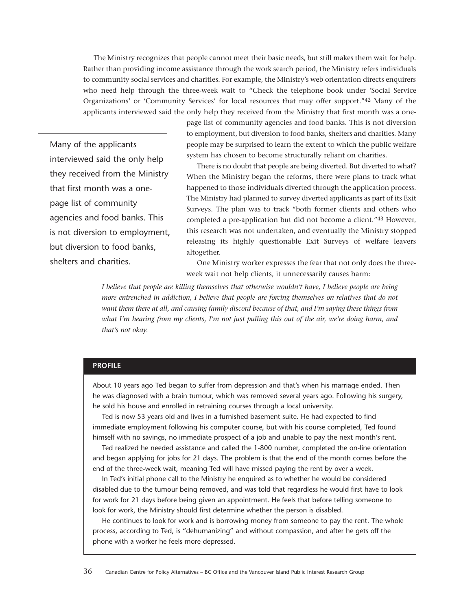The Ministry recognizes that people cannot meet their basic needs, but still makes them wait for help. Rather than providing income assistance through the work search period, the Ministry refers individuals to community social services and charities. For example, the Ministry's web orientation directs enquirers who need help through the three-week wait to "Check the telephone book under 'Social Service Organizations' or 'Community Services' for local resources that may offer support."42 Many of the applicants interviewed said the only help they received from the Ministry that first month was a one-

Many of the applicants interviewed said the only help they received from the Ministry that first month was a onepage list of community agencies and food banks. This is not diversion to employment, but diversion to food banks, shelters and charities.

page list of community agencies and food banks. This is not diversion to employment, but diversion to food banks, shelters and charities. Many people may be surprised to learn the extent to which the public welfare system has chosen to become structurally reliant on charities.

There is no doubt that people are being diverted. But diverted to what? When the Ministry began the reforms, there were plans to track what happened to those individuals diverted through the application process. The Ministry had planned to survey diverted applicants as part of its Exit Surveys. The plan was to track "both former clients and others who completed a pre-application but did not become a client."43 However, this research was not undertaken, and eventually the Ministry stopped releasing its highly questionable Exit Surveys of welfare leavers altogether.

One Ministry worker expresses the fear that not only does the threeweek wait not help clients, it unnecessarily causes harm:

*I believe that people are killing themselves that otherwise wouldn't have, I believe people are being more entrenched in addiction, I believe that people are forcing themselves on relatives that do not want them there at all, and causing family discord because of that, and I'm saying these things from what I'm hearing from my clients, I'm not just pulling this out of the air, we're doing harm, and that's not okay.*

#### **PROFILE**

About 10 years ago Ted began to suffer from depression and that's when his marriage ended. Then he was diagnosed with a brain tumour, which was removed several years ago. Following his surgery, he sold his house and enrolled in retraining courses through a local university.

Ted is now 53 years old and lives in a furnished basement suite. He had expected to find immediate employment following his computer course, but with his course completed, Ted found himself with no savings, no immediate prospect of a job and unable to pay the next month's rent.

Ted realized he needed assistance and called the 1-800 number, completed the on-line orientation and began applying for jobs for 21 days. The problem is that the end of the month comes before the end of the three-week wait, meaning Ted will have missed paying the rent by over a week.

In Ted's initial phone call to the Ministry he enquired as to whether he would be considered disabled due to the tumour being removed, and was told that regardless he would first have to look for work for 21 days before being given an appointment. He feels that before telling someone to look for work, the Ministry should first determine whether the person is disabled.

He continues to look for work and is borrowing money from someone to pay the rent. The whole process, according to Ted, is "dehumanizing" and without compassion, and after he gets off the phone with a worker he feels more depressed.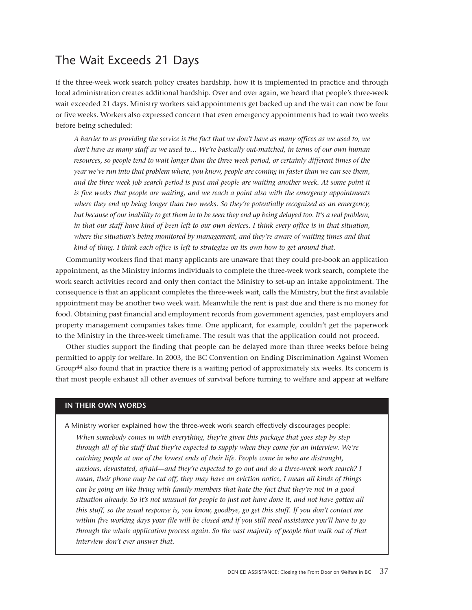## The Wait Exceeds 21 Days

If the three-week work search policy creates hardship, how it is implemented in practice and through local administration creates additional hardship. Over and over again, we heard that people's three-week wait exceeded 21 days. Ministry workers said appointments get backed up and the wait can now be four or five weeks. Workers also expressed concern that even emergency appointments had to wait two weeks before being scheduled:

<span id="page-36-0"></span>*A barrier to us providing the service is the fact that we don't have as many offices as we used to, we don't have as many staff as we used to… We're basically out-matched, in terms of our own human resources, so people tend to wait longer than the three week period, or certainly different times of the year we've run into that problem where, you know, people are coming in faster than we can see them, and the three week job search period is past and people are waiting another week. At some point it is five weeks that people are waiting, and we reach a point also with the emergency appointments where they end up being longer than two weeks. So they're potentially recognized as an emergency, but because of our inability to get them in to be seen they end up being delayed too. It's a real problem, in that our staff have kind of been left to our own devices. I think every office is in that situation, where the situation's being monitored by management, and they're aware of waiting times and that kind of thing. I think each office is left to strategize on its own how to get around that.*

Community workers find that many applicants are unaware that they could pre-book an application appointment, as the Ministry informs individuals to complete the three-week work search, complete the work search activities record and only then contact the Ministry to set-up an intake appointment. The consequence is that an applicant completes the three-week wait, calls the Ministry, but the first available appointment may be another two week wait. Meanwhile the rent is past due and there is no money for food. Obtaining past financial and employment records from government agencies, past employers and property management companies takes time. One applicant, for example, couldn't get the paperwork to the Ministry in the three-week timeframe. The result was that the application could not proceed.

Other studies support the finding that people can be delayed more than three weeks before being permitted to apply for welfare. In 2003, the BC Convention on Ending Discrimination Against Women Group44 also found that in practice there is a waiting period of approximately six weeks. Its concern is that most people exhaust all other avenues of survival before turning to welfare and appear at welfare

#### **IN THEIR OWN WORDS**

A Ministry worker explained how the three-week work search effectively discourages people:

*When somebody comes in with everything, they're given this package that goes step by step through all of the stuff that they're expected to supply when they come for an interview. We're catching people at one of the lowest ends of their life. People come in who are distraught, anxious, devastated, afraid—and they're expected to go out and do a three-week work search? I mean, their phone may be cut off, they may have an eviction notice, I mean all kinds of things can be going on like living with family members that hate the fact that they're not in a good situation already. So it's not unusual for people to just not have done it, and not have gotten all this stuff, so the usual response is, you know, goodbye, go get this stuff. If you don't contact me within five working days your file will be closed and if you still need assistance you'll have to go through the whole application process again. So the vast majority of people that walk out of that interview don't ever answer that.*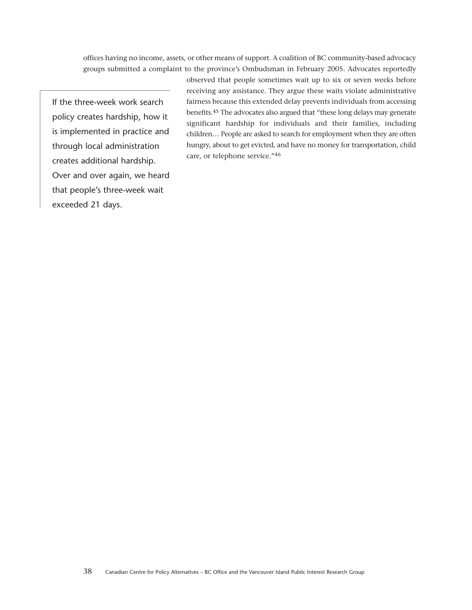offices having no income, assets, or other means of support. A coalition of BC community-based advocacy groups submitted a complaint to the province's Ombudsman in February 2005. Advocates reportedly

If the three-week work search policy creates hardship, how it is implemented in practice and through local administration creates additional hardship. Over and over again, we heard that people's three-week wait exceeded 21 days.

observed that people sometimes wait up to six or seven weeks before receiving any assistance. They argue these waits violate administrative fairness because this extended delay prevents individuals from accessing benefits.45 The advocates also argued that "these long delays may generate significant hardship for individuals and their families, including children… People are asked to search for employment when they are often hungry, about to get evicted, and have no money for transportation, child care, or telephone service."46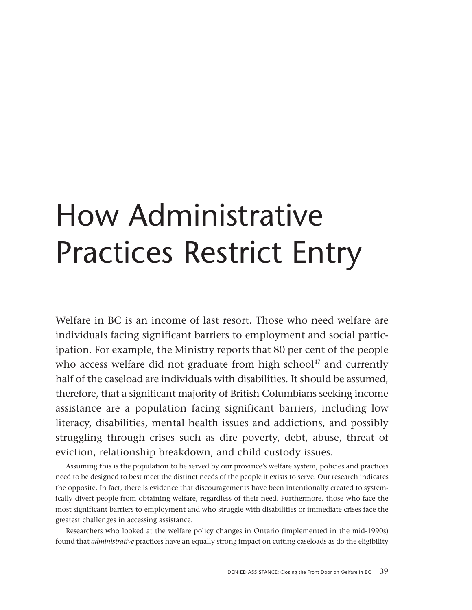# <span id="page-38-0"></span>How Administrative Practices Restrict Entry

Welfare in BC is an income of last resort. Those who need welfare are individuals facing significant barriers to employment and social participation. For example, the Ministry reports that 80 per cent of the people who access welfare did not graduate from high school $47$  and currently half of the caseload are individuals with disabilities. It should be assumed, therefore, that a significant majority of British Columbians seeking income assistance are a population facing significant barriers, including low literacy, disabilities, mental health issues and addictions, and possibly struggling through crises such as dire poverty, debt, abuse, threat of eviction, relationship breakdown, and child custody issues.

Assuming this is the population to be served by our province's welfare system, policies and practices need to be designed to best meet the distinct needs of the people it exists to serve. Our research indicates the opposite. In fact, there is evidence that discouragements have been intentionally created to systemically divert people from obtaining welfare, regardless of their need. Furthermore, those who face the most significant barriers to employment and who struggle with disabilities or immediate crises face the greatest challenges in accessing assistance.

Researchers who looked at the welfare policy changes in Ontario (implemented in the mid-1990s) found that *administrative* practices have an equally strong impact on cutting caseloads as do the eligibility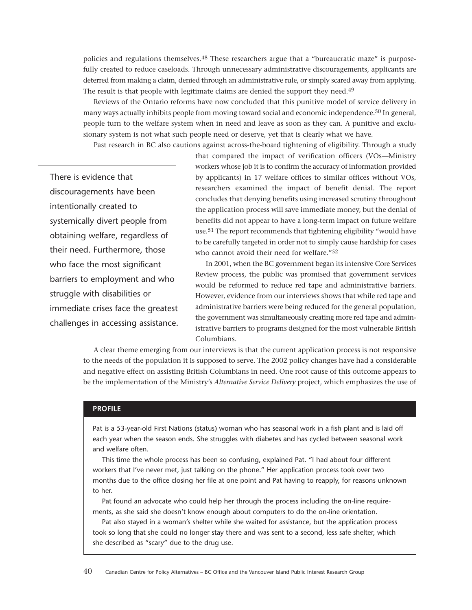policies and regulations themselves.<sup>48</sup> These researchers argue that a "bureaucratic maze" is purposefully created to reduce caseloads. Through unnecessary administrative discouragements, applicants are deterred from making a claim, denied through an administrative rule, or simply scared away from applying. The result is that people with legitimate claims are denied the support they need.<sup>49</sup>

Reviews of the Ontario reforms have now concluded that this punitive model of service delivery in many ways actually inhibits people from moving toward social and economic independence.<sup>50</sup> In general, people turn to the welfare system when in need and leave as soon as they can. A punitive and exclusionary system is not what such people need or deserve, yet that is clearly what we have.

Past research in BC also cautions against across-the-board tightening of eligibility. Through a study

There is evidence that discouragements have been intentionally created to systemically divert people from obtaining welfare, regardless of their need. Furthermore, those who face the most significant barriers to employment and who struggle with disabilities or immediate crises face the greatest challenges in accessing assistance. that compared the impact of verification officers (VOs—Ministry workers whose job it is to confirm the accuracy of information provided by applicants) in 17 welfare offices to similar offices without VOs, researchers examined the impact of benefit denial. The report concludes that denying benefits using increased scrutiny throughout the application process will save immediate money, but the denial of benefits did not appear to have a long-term impact on future welfare use.51 The report recommends that tightening eligibility "would have to be carefully targeted in order not to simply cause hardship for cases who cannot avoid their need for welfare."52

In 2001, when the BC government began its intensive Core Services Review process, the public was promised that government services would be reformed to reduce red tape and administrative barriers. However, evidence from our interviews shows that while red tape and administrative barriers were being reduced for the general population, the government was simultaneously creating more red tape and administrative barriers to programs designed for the most vulnerable British Columbians.

A clear theme emerging from our interviews is that the current application process is not responsive to the needs of the population it is supposed to serve. The 2002 policy changes have had a considerable and negative effect on assisting British Columbians in need. One root cause of this outcome appears to be the implementation of the Ministry's *Alternative Service Delivery* project, which emphasizes the use of

#### **PROFILE**

Pat is a 53-year-old First Nations (status) woman who has seasonal work in a fish plant and is laid off each year when the season ends. She struggles with diabetes and has cycled between seasonal work and welfare often.

This time the whole process has been so confusing, explained Pat. "I had about four different workers that I've never met, just talking on the phone." Her application process took over two months due to the office closing her file at one point and Pat having to reapply, for reasons unknown to her.

Pat found an advocate who could help her through the process including the on-line requirements, as she said she doesn't know enough about computers to do the on-line orientation.

Pat also stayed in a woman's shelter while she waited for assistance, but the application process took so long that she could no longer stay there and was sent to a second, less safe shelter, which she described as "scary" due to the drug use.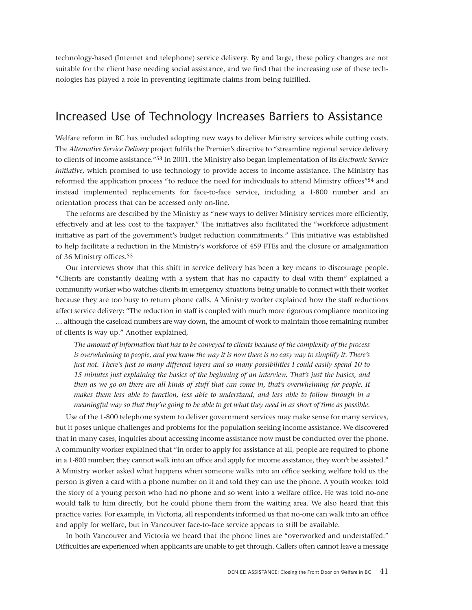<span id="page-40-0"></span>technology-based (Internet and telephone) service delivery*.* By and large, these policy changes are not suitable for the client base needing social assistance, and we find that the increasing use of these technologies has played a role in preventing legitimate claims from being fulfilled.

### Increased Use of Technology Increases Barriers to Assistance

Welfare reform in BC has included adopting new ways to deliver Ministry services while cutting costs. The *Alternative Service Delivery* project fulfils the Premier's directive to "streamline regional service delivery to clients of income assistance."53 In 2001, the Ministry also began implementation of its *Electronic Service Initiative,* which promised to use technology to provide access to income assistance. The Ministry has reformed the application process "to reduce the need for individuals to attend Ministry offices"54 and instead implemented replacements for face-to-face service, including a 1-800 number and an orientation process that can be accessed only on-line.

The reforms are described by the Ministry as "new ways to deliver Ministry services more efficiently, effectively and at less cost to the taxpayer." The initiatives also facilitated the "workforce adjustment initiative as part of the government's budget reduction commitments." This initiative was established to help facilitate a reduction in the Ministry's workforce of 459 FTEs and the closure or amalgamation of 36 Ministry offices.55

Our interviews show that this shift in service delivery has been a key means to discourage people. "Clients are constantly dealing with a system that has no capacity to deal with them" explained a community worker who watches clients in emergency situations being unable to connect with their worker because they are too busy to return phone calls. A Ministry worker explained how the staff reductions affect service delivery: "The reduction in staff is coupled with much more rigorous compliance monitoring … although the caseload numbers are way down, the amount of work to maintain those remaining number of clients is way up." Another explained,

*The amount of information that has to be conveyed to clients because of the complexity of the process is overwhelming to people, and you know the way it is now there is no easy way to simplify it. There's just not. There's just so many different layers and so many possibilities I could easily spend 10 to 15 minutes just explaining the basics of the beginning of an interview. That's just the basics, and then as we go on there are all kinds of stuff that can come in, that's overwhelming for people. It makes them less able to function, less able to understand, and less able to follow through in a meaningful way so that they're going to be able to get what they need in as short of time as possible.*

Use of the 1-800 telephone system to deliver government services may make sense for many services, but it poses unique challenges and problems for the population seeking income assistance. We discovered that in many cases, inquiries about accessing income assistance now must be conducted over the phone. A community worker explained that "in order to apply for assistance at all, people are required to phone in a 1-800 number; they cannot walk into an office and apply for income assistance, they won't be assisted." A Ministry worker asked what happens when someone walks into an office seeking welfare told us the person is given a card with a phone number on it and told they can use the phone. A youth worker told the story of a young person who had no phone and so went into a welfare office. He was told no-one would talk to him directly, but he could phone them from the waiting area. We also heard that this practice varies. For example, in Victoria, all respondents informed us that no-one can walk into an office and apply for welfare, but in Vancouver face-to-face service appears to still be available.

In both Vancouver and Victoria we heard that the phone lines are "overworked and understaffed." Difficulties are experienced when applicants are unable to get through. Callers often cannot leave a message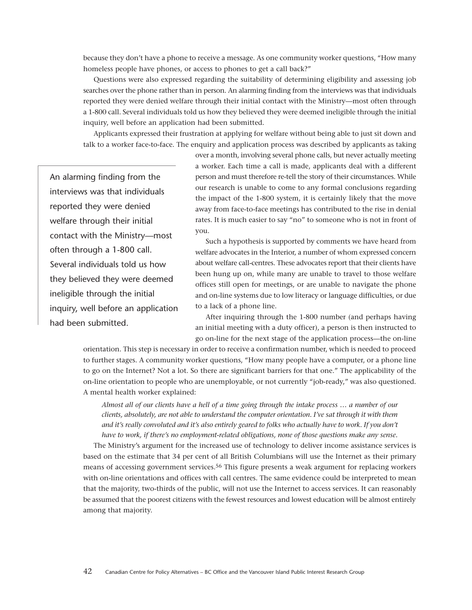because they don't have a phone to receive a message. As one community worker questions, "How many homeless people have phones, or access to phones to get a call back?"

Questions were also expressed regarding the suitability of determining eligibility and assessing job searches over the phone rather than in person. An alarming finding from the interviews was that individuals reported they were denied welfare through their initial contact with the Ministry—most often through a 1-800 call. Several individuals told us how they believed they were deemed ineligible through the initial inquiry, well before an application had been submitted.

Applicants expressed their frustration at applying for welfare without being able to just sit down and talk to a worker face-to-face. The enquiry and application process was described by applicants as taking

An alarming finding from the interviews was that individuals reported they were denied welfare through their initial contact with the Ministry—most often through a 1-800 call. Several individuals told us how they believed they were deemed ineligible through the initial inquiry, well before an application had been submitted.

over a month, involving several phone calls, but never actually meeting a worker. Each time a call is made, applicants deal with a different person and must therefore re-tell the story of their circumstances. While our research is unable to come to any formal conclusions regarding the impact of the 1-800 system, it is certainly likely that the move away from face-to-face meetings has contributed to the rise in denial rates. It is much easier to say "no" to someone who is not in front of you.

Such a hypothesis is supported by comments we have heard from welfare advocates in the Interior, a number of whom expressed concern about welfare call-centres. These advocates report that their clients have been hung up on, while many are unable to travel to those welfare offices still open for meetings, or are unable to navigate the phone and on-line systems due to low literacy or language difficulties, or due to a lack of a phone line.

After inquiring through the 1-800 number (and perhaps having an initial meeting with a duty officer), a person is then instructed to go on-line for the next stage of the application process—the on-line

orientation. This step is necessary in order to receive a confirmation number, which is needed to proceed to further stages. A community worker questions, "How many people have a computer, or a phone line to go on the Internet? Not a lot. So there are significant barriers for that one." The applicability of the on-line orientation to people who are unemployable, or not currently "job-ready," was also questioned. A mental health worker explained:

*Almost all of our clients have a hell of a time going through the intake process … a number of our clients, absolutely, are not able to understand the computer orientation. I've sat through it with them and it's really convoluted and it's also entirely geared to folks who actually have to work. If you don't have to work, if there's no employment-related obligations, none of those questions make any sense.*

The Ministry's argument for the increased use of technology to deliver income assistance services is based on the estimate that 34 per cent of all British Columbians will use the Internet as their primary means of accessing government services.56 This figure presents a weak argument for replacing workers with on-line orientations and offices with call centres. The same evidence could be interpreted to mean that the majority, two-thirds of the public, will not use the Internet to access services. It can reasonably be assumed that the poorest citizens with the fewest resources and lowest education will be almost entirely among that majority.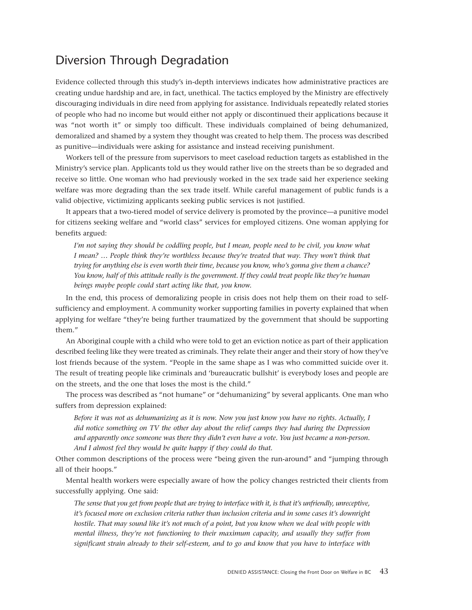## <span id="page-42-0"></span>Diversion Through Degradation

Evidence collected through this study's in-depth interviews indicates how administrative practices are creating undue hardship and are, in fact, unethical. The tactics employed by the Ministry are effectively discouraging individuals in dire need from applying for assistance. Individuals repeatedly related stories of people who had no income but would either not apply or discontinued their applications because it was "not worth it" or simply too difficult. These individuals complained of being dehumanized, demoralized and shamed by a system they thought was created to help them. The process was described as punitive—individuals were asking for assistance and instead receiving punishment.

Workers tell of the pressure from supervisors to meet caseload reduction targets as established in the Ministry's service plan. Applicants told us they would rather live on the streets than be so degraded and receive so little. One woman who had previously worked in the sex trade said her experience seeking welfare was more degrading than the sex trade itself. While careful management of public funds is a valid objective, victimizing applicants seeking public services is not justified.

It appears that a two-tiered model of service delivery is promoted by the province—a punitive model for citizens seeking welfare and "world class" services for employed citizens. One woman applying for benefits argued:

*I'm not saying they should be coddling people, but I mean, people need to be civil, you know what I mean? … People think they're worthless because they're treated that way. They won't think that trying for anything else is even worth their time, because you know, who's gonna give them a chance? You know, half of this attitude really is the government. If they could treat people like they're human beings maybe people could start acting like that, you know.*

In the end, this process of demoralizing people in crisis does not help them on their road to selfsufficiency and employment. A community worker supporting families in poverty explained that when applying for welfare "they're being further traumatized by the government that should be supporting them."

An Aboriginal couple with a child who were told to get an eviction notice as part of their application described feeling like they were treated as criminals. They relate their anger and their story of how they've lost friends because of the system. "People in the same shape as I was who committed suicide over it. The result of treating people like criminals and 'bureaucratic bullshit' is everybody loses and people are on the streets, and the one that loses the most is the child."

The process was described as "not humane" or "dehumanizing" by several applicants. One man who suffers from depression explained:

*Before it was not as dehumanizing as it is now. Now you just know you have no rights. Actually, I did notice something on TV the other day about the relief camps they had during the Depression and apparently once someone was there they didn't even have a vote. You just became a non-person. And I almost feel they would be quite happy if they could do that.*

Other common descriptions of the process were "being given the run-around" and "jumping through all of their hoops."

Mental health workers were especially aware of how the policy changes restricted their clients from successfully applying. One said:

*The sense that you get from people that are trying to interface with it, is that it's unfriendly, unreceptive, it's focused more on exclusion criteria rather than inclusion criteria and in some cases it's downright hostile. That may sound like it's not much of a point, but you know when we deal with people with mental illness, they're not functioning to their maximum capacity, and usually they suffer from significant strain already to their self-esteem, and to go and know that you have to interface with*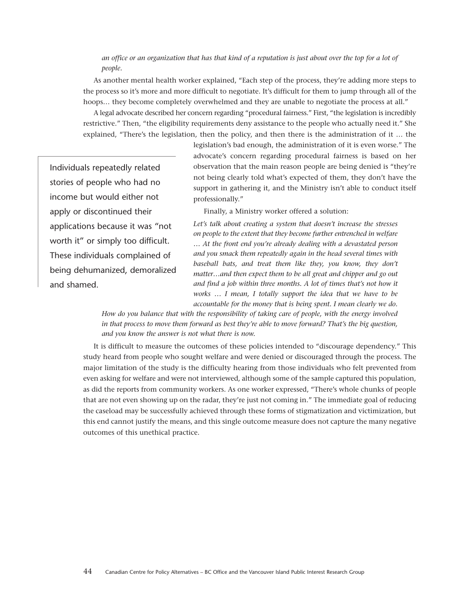#### *an office or an organization that has that kind of a reputation is just about over the top for a lot of people.*

As another mental health worker explained, "Each step of the process, they're adding more steps to the process so it's more and more difficult to negotiate. It's difficult for them to jump through all of the hoops... they become completely overwhelmed and they are unable to negotiate the process at all."

A legal advocate described her concern regarding "procedural fairness." First, "the legislation is incredibly restrictive." Then, "the eligibility requirements deny assistance to the people who actually need it." She explained, "There's the legislation, then the policy, and then there is the administration of it … the

Individuals repeatedly related stories of people who had no income but would either not apply or discontinued their applications because it was "not worth it" or simply too difficult. These individuals complained of being dehumanized, demoralized and shamed.

legislation's bad enough, the administration of it is even worse." The advocate's concern regarding procedural fairness is based on her observation that the main reason people are being denied is "they're not being clearly told what's expected of them, they don't have the support in gathering it, and the Ministry isn't able to conduct itself professionally."

Finally, a Ministry worker offered a solution:

*Let's talk about creating a system that doesn't increase the stresses on people to the extent that they become further entrenched in welfare … At the front end you're already dealing with a devastated person and you smack them repeatedly again in the head several times with baseball bats, and treat them like they, you know, they don't matter…and then expect them to be all great and chipper and go out and find a job within three months. A lot of times that's not how it works … I mean, I totally support the idea that we have to be accountable for the money that is being spent. I mean clearly we do.*

*How do you balance that with the responsibility of taking care of people, with the energy involved in that process to move them forward as best they're able to move forward? That's the big question, and you know the answer is not what there is now.*

It is difficult to measure the outcomes of these policies intended to "discourage dependency." This study heard from people who sought welfare and were denied or discouraged through the process. The major limitation of the study is the difficulty hearing from those individuals who felt prevented from even asking for welfare and were not interviewed, although some of the sample captured this population, as did the reports from community workers. As one worker expressed, "There's whole chunks of people that are not even showing up on the radar, they're just not coming in." The immediate goal of reducing the caseload may be successfully achieved through these forms of stigmatization and victimization, but this end cannot justify the means, and this single outcome measure does not capture the many negative outcomes of this unethical practice.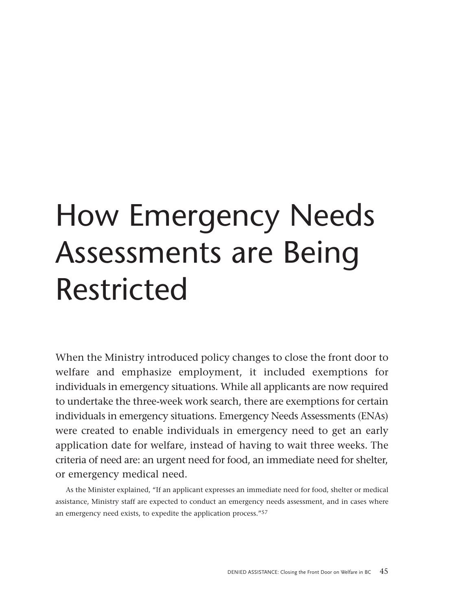# <span id="page-44-0"></span>How Emergency Needs Assessments are Being Restricted

When the Ministry introduced policy changes to close the front door to welfare and emphasize employment, it included exemptions for individuals in emergency situations. While all applicants are now required to undertake the three-week work search, there are exemptions for certain individuals in emergency situations. Emergency Needs Assessments (ENAs) were created to enable individuals in emergency need to get an early application date for welfare, instead of having to wait three weeks. The criteria of need are: an urgent need for food, an immediate need for shelter, or emergency medical need.

As the Minister explained, "If an applicant expresses an immediate need for food, shelter or medical assistance, Ministry staff are expected to conduct an emergency needs assessment, and in cases where an emergency need exists, to expedite the application process."57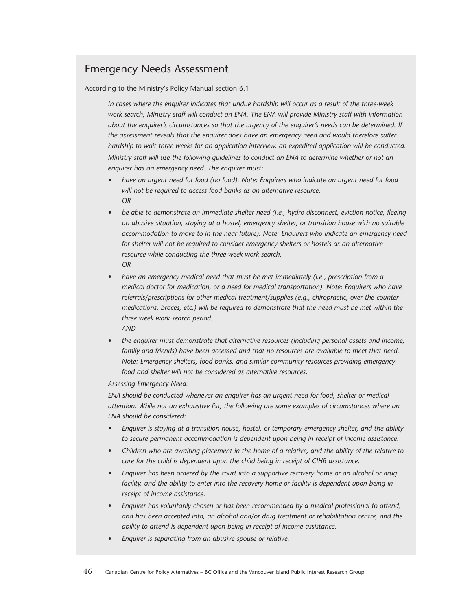### Emergency Needs Assessment

According to the Ministry's Policy Manual section 6.1

*In cases where the enquirer indicates that undue hardship will occur as a result of the three-week work search, Ministry staff will conduct an ENA. The ENA will provide Ministry staff with information about the enquirer's circumstances so that the urgency of the enquirer's needs can be determined. If the assessment reveals that the enquirer does have an emergency need and would therefore suffer hardship to wait three weeks for an application interview, an expedited application will be conducted. Ministry staff will use the following guidelines to conduct an ENA to determine whether or not an enquirer has an emergency need. The enquirer must:*

- *have an urgent need for food (no food). Note: Enquirers who indicate an urgent need for food will not be required to access food banks as an alternative resource. OR*
- *be able to demonstrate an immediate shelter need (i.e., hydro disconnect, eviction notice, fleeing an abusive situation, staying at a hostel, emergency shelter, or transition house with no suitable accommodation to move to in the near future). Note: Enquirers who indicate an emergency need for shelter will not be required to consider emergency shelters or hostels as an alternative resource while conducting the three week work search. OR*
- *have an emergency medical need that must be met immediately (i.e., prescription from a medical doctor for medication, or a need for medical transportation). Note: Enquirers who have referrals/prescriptions for other medical treatment/supplies (e.g., chiropractic, over-the-counter medications, braces, etc.) will be required to demonstrate that the need must be met within the three week work search period. AND*
- *the enquirer must demonstrate that alternative resources (including personal assets and income, family and friends) have been accessed and that no resources are available to meet that need. Note: Emergency shelters, food banks, and similar community resources providing emergency food and shelter will not be considered as alternative resources.*

#### *Assessing Emergency Need:*

*ENA should be conducted whenever an enquirer has an urgent need for food, shelter or medical attention. While not an exhaustive list, the following are some examples of circumstances where an ENA should be considered:*

- *Enquirer is staying at a transition house, hostel, or temporary emergency shelter, and the ability to secure permanent accommodation is dependent upon being in receipt of income assistance.*
- *Children who are awaiting placement in the home of a relative, and the ability of the relative to care for the child is dependent upon the child being in receipt of CIHR assistance.*
- *Enquirer has been ordered by the court into a supportive recovery home or an alcohol or drug facility, and the ability to enter into the recovery home or facility is dependent upon being in receipt of income assistance.*
- *Enquirer has voluntarily chosen or has been recommended by a medical professional to attend, and has been accepted into, an alcohol and/or drug treatment or rehabilitation centre, and the ability to attend is dependent upon being in receipt of income assistance.*
- *• Enquirer is separating from an abusive spouse or relative.*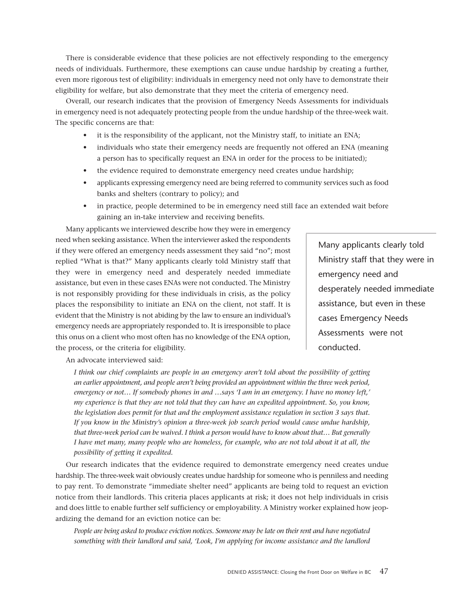There is considerable evidence that these policies are not effectively responding to the emergency needs of individuals. Furthermore, these exemptions can cause undue hardship by creating a further, even more rigorous test of eligibility: individuals in emergency need not only have to demonstrate their eligibility for welfare, but also demonstrate that they meet the criteria of emergency need.

Overall, our research indicates that the provision of Emergency Needs Assessments for individuals in emergency need is not adequately protecting people from the undue hardship of the three-week wait. The specific concerns are that:

- it is the responsibility of the applicant, not the Ministry staff, to initiate an ENA;
- individuals who state their emergency needs are frequently not offered an ENA (meaning a person has to specifically request an ENA in order for the process to be initiated);
- the evidence required to demonstrate emergency need creates undue hardship;
- applicants expressing emergency need are being referred to community services such as food banks and shelters (contrary to policy); and
- in practice, people determined to be in emergency need still face an extended wait before gaining an in-take interview and receiving benefits.

Many applicants we interviewed describe how they were in emergency need when seeking assistance. When the interviewer asked the respondents if they were offered an emergency needs assessment they said "no"; most replied "What is that?" Many applicants clearly told Ministry staff that they were in emergency need and desperately needed immediate assistance, but even in these cases ENAs were not conducted. The Ministry is not responsibly providing for these individuals in crisis, as the policy places the responsibility to initiate an ENA on the client, not staff. It is evident that the Ministry is not abiding by the law to ensure an individual's emergency needs are appropriately responded to. It is irresponsible to place this onus on a client who most often has no knowledge of the ENA option, the process, or the criteria for eligibility.

Many applicants clearly told Ministry staff that they were in emergency need and desperately needed immediate assistance, but even in these cases Emergency Needs Assessments were not conducted.

An advocate interviewed said:

*I think our chief complaints are people in an emergency aren't told about the possibility of getting an earlier appointment, and people aren't being provided an appointment within the three week period, emergency or not… If somebody phones in and …says 'I am in an emergency. I have no money left,' my experience is that they are not told that they can have an expedited appointment. So, you know, the legislation does permit for that and the employment assistance regulation in section 3 says that. If you know in the Ministry's opinion a three-week job search period would cause undue hardship, that three-week period can be waived. I think a person would have to know about that… But generally I have met many, many people who are homeless, for example, who are not told about it at all, the possibility of getting it expedited.*

Our research indicates that the evidence required to demonstrate emergency need creates undue hardship. The three-week wait obviously creates undue hardship for someone who is penniless and needing to pay rent. To demonstrate "immediate shelter need" applicants are being told to request an eviction notice from their landlords. This criteria places applicants at risk; it does not help individuals in crisis and does little to enable further self sufficiency or employability. A Ministry worker explained how jeopardizing the demand for an eviction notice can be:

*People are being asked to produce eviction notices. Someone may be late on their rent and have negotiated something with their landlord and said, 'Look, I'm applying for income assistance and the landlord*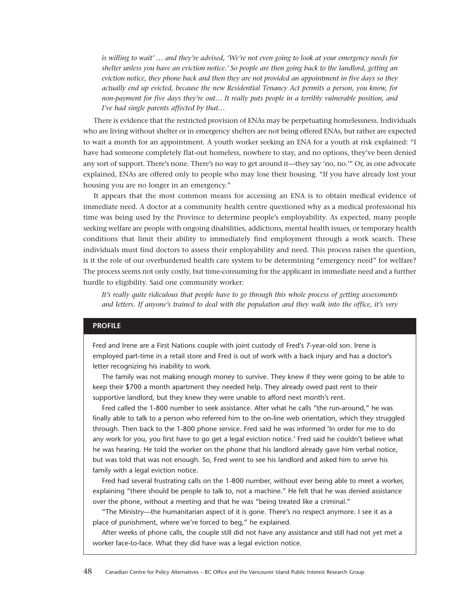*is willing to wait' … and they're advised, 'We're not even going to look at your emergency needs for shelter unless you have an eviction notice.' So people are then going back to the landlord, getting an eviction notice, they phone back and then they are not provided an appointment in five days so they actually end up evicted, because the new Residential Tenancy Act permits a person, you know, for non-payment for five days they're out… It really puts people in a terribly vulnerable position, and I've had single parents affected by that…*

There is evidence that the restricted provision of ENAs may be perpetuating homelessness. Individuals who are living without shelter or in emergency shelters are not being offered ENAs, but rather are expected to wait a month for an appointment. A youth worker seeking an ENA for a youth at risk explained: "I have had someone completely flat-out homeless, nowhere to stay, and no options, they've been denied any sort of support. There's none. There's no way to get around it—they say 'no, no.'" Or, as one advocate explained, ENAs are offered only to people who may lose their housing. "If you have already lost your housing you are no longer in an emergency."

It appears that the most common means for accessing an ENA is to obtain medical evidence of immediate need. A doctor at a community health centre questioned why as a medical professional his time was being used by the Province to determine people's employability. As expected, many people seeking welfare are people with ongoing disabilities, addictions, mental health issues, or temporary health conditions that limit their ability to immediately find employment through a work search. These individuals must find doctors to assess their employability and need. This process raises the question, is it the role of our overburdened health care system to be determining "emergency need" for welfare? The process seems not only costly, but time-consuming for the applicant in immediate need and a further hurdle to eligibility. Said one community worker:

*It's really quite ridiculous that people have to go through this whole process of getting assessments and letters. If anyone's trained to deal with the population and they walk into the office, it's very*

#### **PROFILE**

Fred and Irene are a First Nations couple with joint custody of Fred's 7-year-old son. Irene is employed part-time in a retail store and Fred is out of work with a back injury and has a doctor's letter recognizing his inability to work.

The family was not making enough money to survive. They knew if they were going to be able to keep their \$700 a month apartment they needed help. They already owed past rent to their supportive landlord, but they knew they were unable to afford next month's rent.

Fred called the 1-800 number to seek assistance. After what he calls "the run-around," he was finally able to talk to a person who referred him to the on-line web orientation, which they struggled through. Then back to the 1-800 phone service. Fred said he was informed 'In order for me to do any work for you, you first have to go get a legal eviction notice.' Fred said he couldn't believe what he was hearing. He told the worker on the phone that his landlord already gave him verbal notice, but was told that was not enough. So, Fred went to see his landlord and asked him to serve his family with a legal eviction notice.

Fred had several frustrating calls on the 1-800 number, without ever being able to meet a worker, explaining "there should be people to talk to, not a machine." He felt that he was denied assistance over the phone, without a meeting and that he was "being treated like a criminal."

"The Ministry—the humanitarian aspect of it is gone. There's no respect anymore. I see it as a place of punishment, where we're forced to beg," he explained.

After weeks of phone calls, the couple still did not have any assistance and still had not yet met a worker face-to-face. What they did have was a legal eviction notice.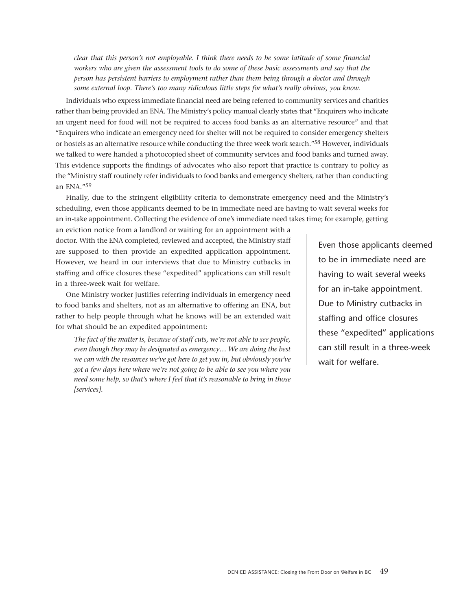*clear that this person's not employable. I think there needs to be some latitude of some financial workers who are given the assessment tools to do some of these basic assessments and say that the person has persistent barriers to employment rather than them being through a doctor and through some external loop. There's too many ridiculous little steps for what's really obvious, you know.*

Individuals who express immediate financial need are being referred to community services and charities rather than being provided an ENA. The Ministry's policy manual clearly states that "Enquirers who indicate an urgent need for food will not be required to access food banks as an alternative resource" and that "Enquirers who indicate an emergency need for shelter will not be required to consider emergency shelters or hostels as an alternative resource while conducting the three week work search."58 However, individuals we talked to were handed a photocopied sheet of community services and food banks and turned away. This evidence supports the findings of advocates who also report that practice is contrary to policy as the "Ministry staff routinely refer individuals to food banks and emergency shelters, rather than conducting an ENA."59

Finally, due to the stringent eligibility criteria to demonstrate emergency need and the Ministry's scheduling, even those applicants deemed to be in immediate need are having to wait several weeks for an in-take appointment. Collecting the evidence of one's immediate need takes time; for example, getting

an eviction notice from a landlord or waiting for an appointment with a doctor. With the ENA completed, reviewed and accepted, the Ministry staff are supposed to then provide an expedited application appointment. However, we heard in our interviews that due to Ministry cutbacks in staffing and office closures these "expedited" applications can still result in a three-week wait for welfare.

One Ministry worker justifies referring individuals in emergency need to food banks and shelters, not as an alternative to offering an ENA, but rather to help people through what he knows will be an extended wait for what should be an expedited appointment:

*The fact of the matter is, because of staff cuts, we're not able to see people, even though they may be designated as emergency… We are doing the best we can with the resources we've got here to get you in, but obviously you've got a few days here where we're not going to be able to see you where you need some help, so that's where I feel that it's reasonable to bring in those [services].*

Even those applicants deemed to be in immediate need are having to wait several weeks for an in-take appointment. Due to Ministry cutbacks in staffing and office closures these "expedited" applications can still result in a three-week wait for welfare.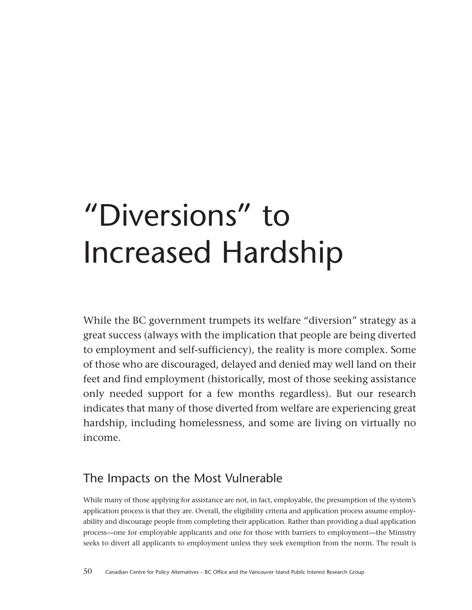## <span id="page-49-0"></span>"Diversions" to Increased Hardship

While the BC government trumpets its welfare "diversion" strategy as a great success (always with the implication that people are being diverted to employment and self-sufficiency), the reality is more complex. Some of those who are discouraged, delayed and denied may well land on their feet and find employment (historically, most of those seeking assistance only needed support for a few months regardless). But our research indicates that many of those diverted from welfare are experiencing great hardship, including homelessness, and some are living on virtually no income.

## The Impacts on the Most Vulnerable

While many of those applying for assistance are not, in fact, employable, the presumption of the system's application process is that they are. Overall, the eligibility criteria and application process assume employability and discourage people from completing their application. Rather than providing a dual application process—one for employable applicants and one for those with barriers to employment—the Ministry seeks to divert all applicants to employment unless they seek exemption from the norm. The result is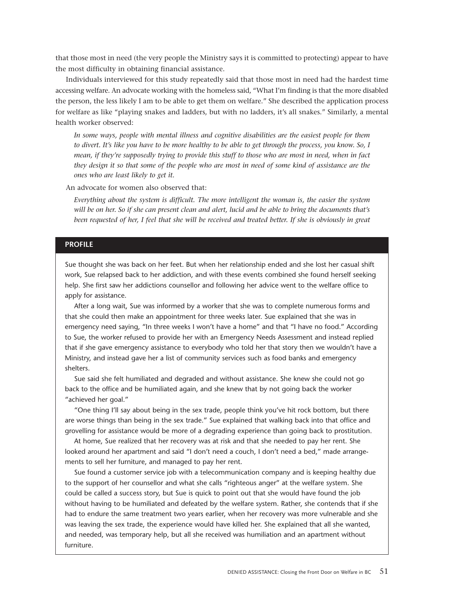that those most in need (the very people the Ministry says it is committed to protecting) appear to have the most difficulty in obtaining financial assistance.

Individuals interviewed for this study repeatedly said that those most in need had the hardest time accessing welfare. An advocate working with the homeless said, "What I'm finding is that the more disabled the person, the less likely I am to be able to get them on welfare." She described the application process for welfare as like "playing snakes and ladders, but with no ladders, it's all snakes." Similarly, a mental health worker observed:

*In some ways, people with mental illness and cognitive disabilities are the easiest people for them to divert. It's like you have to be more healthy to be able to get through the process, you know. So, I mean, if they're supposedly trying to provide this stuff to those who are most in need, when in fact they design it so that some of the people who are most in need of some kind of assistance are the ones who are least likely to get it.*

An advocate for women also observed that:

*Everything about the system is difficult. The more intelligent the woman is, the easier the system will be on her. So if she can present clean and alert, lucid and be able to bring the documents that's been requested of her, I feel that she will be received and treated better. If she is obviously in great*

#### **PROFILE**

Sue thought she was back on her feet. But when her relationship ended and she lost her casual shift work, Sue relapsed back to her addiction, and with these events combined she found herself seeking help. She first saw her addictions counsellor and following her advice went to the welfare office to apply for assistance.

After a long wait, Sue was informed by a worker that she was to complete numerous forms and that she could then make an appointment for three weeks later. Sue explained that she was in emergency need saying, "In three weeks I won't have a home" and that "I have no food." According to Sue, the worker refused to provide her with an Emergency Needs Assessment and instead replied that if she gave emergency assistance to everybody who told her that story then we wouldn't have a Ministry, and instead gave her a list of community services such as food banks and emergency shelters.

Sue said she felt humiliated and degraded and without assistance. She knew she could not go back to the office and be humiliated again, and she knew that by not going back the worker "achieved her goal."

"One thing I'll say about being in the sex trade, people think you've hit rock bottom, but there are worse things than being in the sex trade." Sue explained that walking back into that office and grovelling for assistance would be more of a degrading experience than going back to prostitution.

At home, Sue realized that her recovery was at risk and that she needed to pay her rent. She looked around her apartment and said "I don't need a couch, I don't need a bed," made arrangements to sell her furniture, and managed to pay her rent.

Sue found a customer service job with a telecommunication company and is keeping healthy due to the support of her counsellor and what she calls "righteous anger" at the welfare system. She could be called a success story, but Sue is quick to point out that she would have found the job without having to be humiliated and defeated by the welfare system. Rather, she contends that if she had to endure the same treatment two years earlier, when her recovery was more vulnerable and she was leaving the sex trade, the experience would have killed her. She explained that all she wanted, and needed, was temporary help, but all she received was humiliation and an apartment without furniture.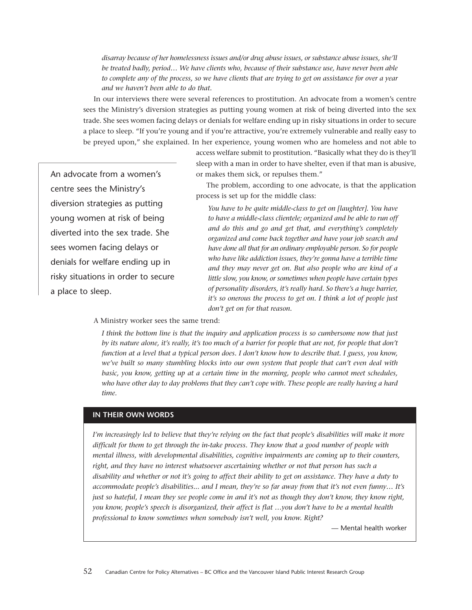*disarray because of her homelessness issues and/or drug abuse issues, or substance abuse issues, she'll be treated badly, period… We have clients who, because of their substance use, have never been able to complete any of the process, so we have clients that are trying to get on assistance for over a year and we haven't been able to do that.*

In our interviews there were several references to prostitution. An advocate from a women's centre sees the Ministry's diversion strategies as putting young women at risk of being diverted into the sex trade. She sees women facing delays or denials for welfare ending up in risky situations in order to secure a place to sleep. "If you're young and if you're attractive, you're extremely vulnerable and really easy to be preyed upon," she explained. In her experience, young women who are homeless and not able to

> access welfare submit to prostitution. "Basically what they do is they'll sleep with a man in order to have shelter, even if that man is abusive, or makes them sick, or repulses them."

The problem, according to one advocate, is that the application process is set up for the middle class:

*You have to be quite middle-class to get on [laughter]. You have to have a middle-class clientele; organized and be able to run off and do this and go and get that, and everything's completely organized and come back together and have your job search and have done all that for an ordinary employable person. So for people who have like addiction issues, they're gonna have a terrible time and they may never get on. But also people who are kind of a little slow, you know, or sometimes when people have certain types of personality disorders, it's really hard. So there's a huge barrier, it's so onerous the process to get on. I think a lot of people just don't get on for that reason.*

centre sees the Ministry's diversion strategies as putting young women at risk of being diverted into the sex trade. She sees women facing delays or denials for welfare ending up in risky situations in order to secure a place to sleep.

An advocate from a women's

#### A Ministry worker sees the same trend:

*I think the bottom line is that the inquiry and application process is so cumbersome now that just by its nature alone, it's really, it's too much of a barrier for people that are not, for people that don't function at a level that a typical person does. I don't know how to describe that. I guess, you know, we've built so many stumbling blocks into our own system that people that can't even deal with basic, you know, getting up at a certain time in the morning, people who cannot meet schedules, who have other day to day problems that they can't cope with. These people are really having a hard time.*

#### **IN THEIR OWN WORDS**

*I'm increasingly led to believe that they're relying on the fact that people's disabilities will make it more difficult for them to get through the in-take process. They know that a good number of people with mental illness, with developmental disabilities, cognitive impairments are coming up to their counters, right, and they have no interest whatsoever ascertaining whether or not that person has such a disability and whether or not it's going to affect their ability to get on assistance. They have a duty to accommodate people's disabilities... and I mean, they're so far away from that it's not even funny… It's just so hateful, I mean they see people come in and it's not as though they don't know, they know right, you know, people's speech is disorganized, their affect is flat …you don't have to be a mental health professional to know sometimes when somebody isn't well, you know. Right?*

— Mental health worker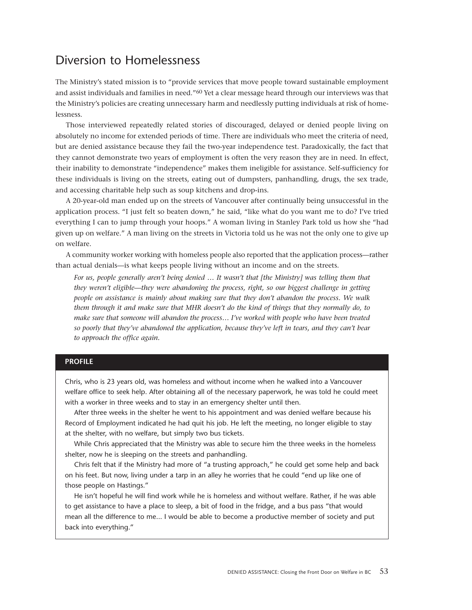## <span id="page-52-0"></span>Diversion to Homelessness

The Ministry's stated mission is to "provide services that move people toward sustainable employment and assist individuals and families in need."60 Yet a clear message heard through our interviews was that the Ministry's policies are creating unnecessary harm and needlessly putting individuals at risk of homelessness.

Those interviewed repeatedly related stories of discouraged, delayed or denied people living on absolutely no income for extended periods of time. There are individuals who meet the criteria of need, but are denied assistance because they fail the two-year independence test. Paradoxically, the fact that they cannot demonstrate two years of employment is often the very reason they are in need. In effect, their inability to demonstrate "independence" makes them ineligible for assistance. Self-sufficiency for these individuals is living on the streets, eating out of dumpsters, panhandling, drugs, the sex trade, and accessing charitable help such as soup kitchens and drop-ins.

A 20-year-old man ended up on the streets of Vancouver after continually being unsuccessful in the application process. "I just felt so beaten down," he said, "like what do you want me to do? I've tried everything I can to jump through your hoops." A woman living in Stanley Park told us how she "had given up on welfare." A man living on the streets in Victoria told us he was not the only one to give up on welfare.

A community worker working with homeless people also reported that the application process—rather than actual denials—is what keeps people living without an income and on the streets.

*For us, people generally aren't being denied … It wasn't that [the Ministry] was telling them that they weren't eligible—they were abandoning the process, right, so our biggest challenge in getting people on assistance is mainly about making sure that they don't abandon the process. We walk them through it and make sure that MHR doesn't do the kind of things that they normally do, to make sure that someone will abandon the process… I've worked with people who have been treated so poorly that they've abandoned the application, because they've left in tears, and they can't bear to approach the office again.*

#### **PROFILE**

Chris, who is 23 years old, was homeless and without income when he walked into a Vancouver welfare office to seek help. After obtaining all of the necessary paperwork, he was told he could meet with a worker in three weeks and to stay in an emergency shelter until then.

After three weeks in the shelter he went to his appointment and was denied welfare because his Record of Employment indicated he had quit his job. He left the meeting, no longer eligible to stay at the shelter, with no welfare, but simply two bus tickets.

While Chris appreciated that the Ministry was able to secure him the three weeks in the homeless shelter, now he is sleeping on the streets and panhandling.

Chris felt that if the Ministry had more of "a trusting approach," he could get some help and back on his feet. But now, living under a tarp in an alley he worries that he could "end up like one of those people on Hastings."

He isn't hopeful he will find work while he is homeless and without welfare. Rather, if he was able to get assistance to have a place to sleep, a bit of food in the fridge, and a bus pass "that would mean all the difference to me... I would be able to become a productive member of society and put back into everything."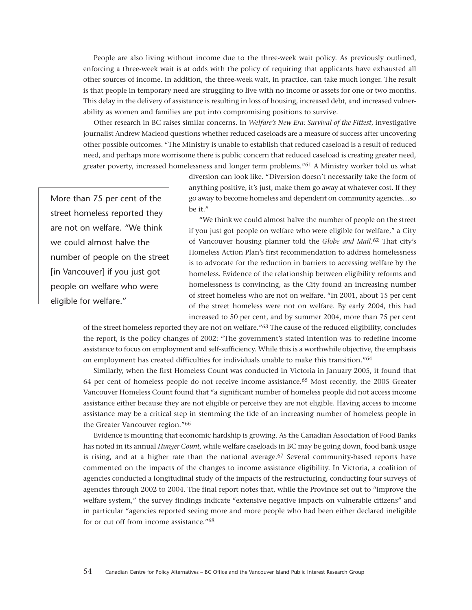People are also living without income due to the three-week wait policy. As previously outlined, enforcing a three-week wait is at odds with the policy of requiring that applicants have exhausted all other sources of income. In addition, the three-week wait, in practice, can take much longer. The result is that people in temporary need are struggling to live with no income or assets for one or two months. This delay in the delivery of assistance is resulting in loss of housing, increased debt, and increased vulnerability as women and families are put into compromising positions to survive.

Other research in BC raises similar concerns. In *Welfare's New Era: Survival of the Fittest*, investigative journalist Andrew Macleod questions whether reduced caseloads are a measure of success after uncovering other possible outcomes. "The Ministry is unable to establish that reduced caseload is a result of reduced need, and perhaps more worrisome there is public concern that reduced caseload is creating greater need, greater poverty, increased homelessness and longer term problems."61 A Ministry worker told us what

More than 75 per cent of the street homeless reported they are not on welfare. "We think we could almost halve the number of people on the street [in Vancouver] if you just got people on welfare who were eligible for welfare."

diversion can look like. "Diversion doesn't necessarily take the form of anything positive, it's just, make them go away at whatever cost. If they go away to become homeless and dependent on community agencies…so be it."

"We think we could almost halve the number of people on the street if you just got people on welfare who were eligible for welfare," a City of Vancouver housing planner told the *Globe and Mail*.62 That city's Homeless Action Plan's first recommendation to address homelessness is to advocate for the reduction in barriers to accessing welfare by the homeless. Evidence of the relationship between eligibility reforms and homelessness is convincing, as the City found an increasing number of street homeless who are not on welfare. "In 2001, about 15 per cent of the street homeless were not on welfare. By early 2004, this had increased to 50 per cent, and by summer 2004, more than 75 per cent

of the street homeless reported they are not on welfare."63 The cause of the reduced eligibility, concludes the report, is the policy changes of 2002: "The government's stated intention was to redefine income assistance to focus on employment and self-sufficiency. While this is a worthwhile objective, the emphasis on employment has created difficulties for individuals unable to make this transition."64

Similarly, when the first Homeless Count was conducted in Victoria in January 2005, it found that 64 per cent of homeless people do not receive income assistance.65 Most recently, the 2005 Greater Vancouver Homeless Count found that "a significant number of homeless people did not access income assistance either because they are not eligible or perceive they are not eligible. Having access to income assistance may be a critical step in stemming the tide of an increasing number of homeless people in the Greater Vancouver region."66

Evidence is mounting that economic hardship is growing. As the Canadian Association of Food Banks has noted in its annual *Hunger Count*, while welfare caseloads in BC may be going down, food bank usage is rising, and at a higher rate than the national average.<sup>67</sup> Several community-based reports have commented on the impacts of the changes to income assistance eligibility. In Victoria, a coalition of agencies conducted a longitudinal study of the impacts of the restructuring, conducting four surveys of agencies through 2002 to 2004. The final report notes that, while the Province set out to "improve the welfare system," the survey findings indicate "extensive negative impacts on vulnerable citizens" and in particular "agencies reported seeing more and more people who had been either declared ineligible for or cut off from income assistance."68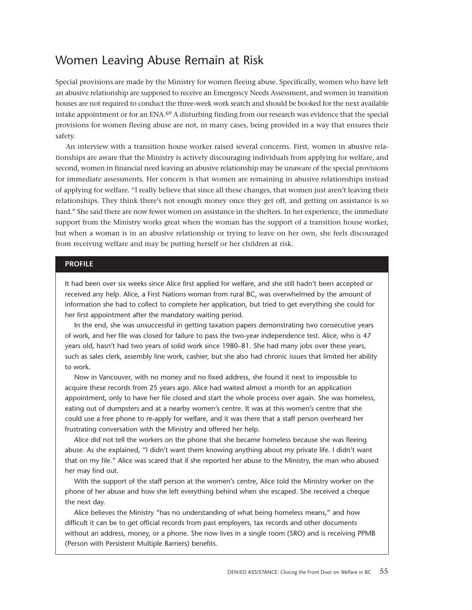## <span id="page-54-0"></span>Women Leaving Abuse Remain at Risk

Special provisions are made by the Ministry for women fleeing abuse. Specifically, women who have left an abusive relationship are supposed to receive an Emergency Needs Assessment, and women in transition houses are not required to conduct the three-week work search and should be booked for the next available intake appointment or for an ENA.69 A disturbing finding from our research was evidence that the special provisions for women fleeing abuse are not, in many cases, being provided in a way that ensures their safety.

An interview with a transition house worker raised several concerns. First, women in abusive relationships are aware that the Ministry is actively discouraging individuals from applying for welfare, and second, women in financial need leaving an abusive relationship may be unaware of the special provisions for immediate assessments. Her concern is that women are remaining in abusive relationships instead of applying for welfare. "I really believe that since all these changes, that women just aren't leaving their relationships. They think there's not enough money once they get off, and getting on assistance is so hard." She said there are now fewer women on assistance in the shelters. In her experience, the immediate support from the Ministry works great when the woman has the support of a transition house worker, but when a woman is in an abusive relationship or trying to leave on her own, she feels discouraged from receiving welfare and may be putting herself or her children at risk.

#### **PROFILE**

It had been over six weeks since Alice first applied for welfare, and she still hadn't been accepted or received any help. Alice, a First Nations woman from rural BC, was overwhelmed by the amount of information she had to collect to complete her application, but tried to get everything she could for her first appointment after the mandatory waiting period.

In the end, she was unsuccessful in getting taxation papers demonstrating two consecutive years of work, and her file was closed for failure to pass the two-year independence test. Alice, who is 47 years old, hasn't had two years of solid work since 1980–81. She had many jobs over these years, such as sales clerk, assembly line work, cashier, but she also had chronic issues that limited her ability to work.

Now in Vancouver, with no money and no fixed address, she found it next to impossible to acquire these records from 25 years ago. Alice had waited almost a month for an application appointment, only to have her file closed and start the whole process over again. She was homeless, eating out of dumpsters and at a nearby women's centre. It was at this women's centre that she could use a free phone to re-apply for welfare, and it was there that a staff person overheard her frustrating conversation with the Ministry and offered her help.

Alice did not tell the workers on the phone that she became homeless because she was fleeing abuse. As she explained, "I didn't want them knowing anything about my private life. I didn't want that on my file." Alice was scared that if she reported her abuse to the Ministry, the man who abused her may find out.

With the support of the staff person at the women's centre, Alice told the Ministry worker on the phone of her abuse and how she left everything behind when she escaped. She received a cheque the next day.

Alice believes the Ministry "has no understanding of what being homeless means," and how difficult it can be to get official records from past employers, tax records and other documents without an address, money, or a phone. She now lives in a single room (SRO) and is receiving PPMB (Person with Persistent Multiple Barriers) benefits.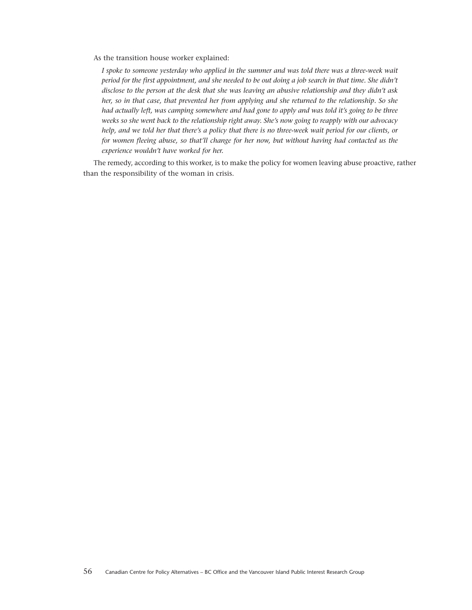As the transition house worker explained:

*I spoke to someone yesterday who applied in the summer and was told there was a three-week wait period for the first appointment, and she needed to be out doing a job search in that time. She didn't disclose to the person at the desk that she was leaving an abusive relationship and they didn't ask her, so in that case, that prevented her from applying and she returned to the relationship. So she had actually left, was camping somewhere and had gone to apply and was told it's going to be three weeks so she went back to the relationship right away. She's now going to reapply with our advocacy help, and we told her that there's a policy that there is no three-week wait period for our clients, or for women fleeing abuse, so that'll change for her now, but without having had contacted us the experience wouldn't have worked for her.*

The remedy, according to this worker, is to make the policy for women leaving abuse proactive, rather than the responsibility of the woman in crisis.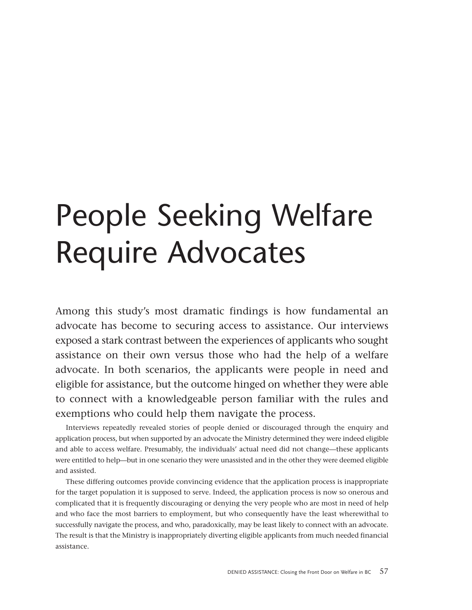# People Seeking Welfare Require Advocates

Among this study's most dramatic findings is how fundamental an advocate has become to securing access to assistance. Our interviews exposed a stark contrast between the experiences of applicants who sought assistance on their own versus those who had the help of a welfare advocate. In both scenarios, the applicants were people in need and eligible for assistance, but the outcome hinged on whether they were able to connect with a knowledgeable person familiar with the rules and exemptions who could help them navigate the process.

Interviews repeatedly revealed stories of people denied or discouraged through the enquiry and application process, but when supported by an advocate the Ministry determined they were indeed eligible and able to access welfare. Presumably, the individuals' actual need did not change—these applicants were entitled to help—but in one scenario they were unassisted and in the other they were deemed eligible and assisted.

These differing outcomes provide convincing evidence that the application process is inappropriate for the target population it is supposed to serve. Indeed, the application process is now so onerous and complicated that it is frequently discouraging or denying the very people who are most in need of help and who face the most barriers to employment, but who consequently have the least wherewithal to successfully navigate the process, and who, paradoxically, may be least likely to connect with an advocate. The result is that the Ministry is inappropriately diverting eligible applicants from much needed financial assistance.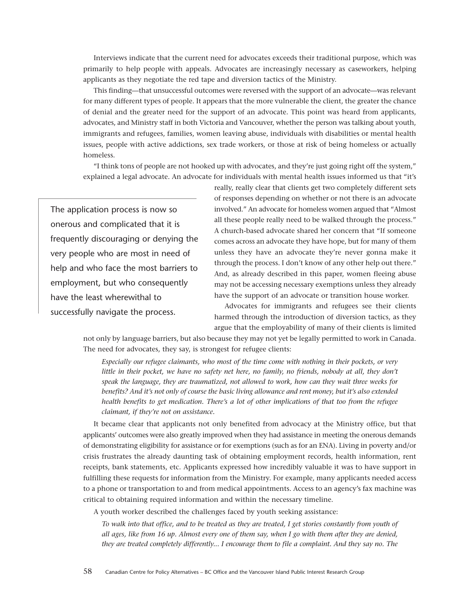Interviews indicate that the current need for advocates exceeds their traditional purpose, which was primarily to help people with appeals. Advocates are increasingly necessary as caseworkers, helping applicants as they negotiate the red tape and diversion tactics of the Ministry.

This finding—that unsuccessful outcomes were reversed with the support of an advocate—was relevant for many different types of people. It appears that the more vulnerable the client, the greater the chance of denial and the greater need for the support of an advocate. This point was heard from applicants, advocates, and Ministry staff in both Victoria and Vancouver, whether the person was talking about youth, immigrants and refugees, families, women leaving abuse, individuals with disabilities or mental health issues, people with active addictions, sex trade workers, or those at risk of being homeless or actually homeless.

"I think tons of people are not hooked up with advocates, and they're just going right off the system," explained a legal advocate. An advocate for individuals with mental health issues informed us that "it's

The application process is now so onerous and complicated that it is frequently discouraging or denying the very people who are most in need of help and who face the most barriers to employment, but who consequently have the least wherewithal to successfully navigate the process.

really, really clear that clients get two completely different sets of responses depending on whether or not there is an advocate involved." An advocate for homeless women argued that "Almost all these people really need to be walked through the process." A church-based advocate shared her concern that "If someone comes across an advocate they have hope, but for many of them unless they have an advocate they're never gonna make it through the process. I don't know of any other help out there." And, as already described in this paper, women fleeing abuse may not be accessing necessary exemptions unless they already have the support of an advocate or transition house worker.

Advocates for immigrants and refugees see their clients harmed through the introduction of diversion tactics, as they argue that the employability of many of their clients is limited

not only by language barriers, but also because they may not yet be legally permitted to work in Canada. The need for advocates, they say, is strongest for refugee clients:

*Especially our refugee claimants, who most of the time come with nothing in their pockets, or very little in their pocket, we have no safety net here, no family, no friends, nobody at all, they don't speak the language, they are traumatized, not allowed to work, how can they wait three weeks for benefits? And it's not only of course the basic living allowance and rent money, but it's also extended health benefits to get medication. There's a lot of other implications of that too from the refugee claimant, if they're not on assistance.*

It became clear that applicants not only benefited from advocacy at the Ministry office, but that applicants' outcomes were also greatly improved when they had assistance in meeting the onerous demands of demonstrating eligibility for assistance or for exemptions (such as for an ENA). Living in poverty and/or crisis frustrates the already daunting task of obtaining employment records, health information, rent receipts, bank statements, etc. Applicants expressed how incredibly valuable it was to have support in fulfilling these requests for information from the Ministry. For example, many applicants needed access to a phone or transportation to and from medical appointments. Access to an agency's fax machine was critical to obtaining required information and within the necessary timeline.

A youth worker described the challenges faced by youth seeking assistance:

*To walk into that office, and to be treated as they are treated, I get stories constantly from youth of all ages, like from 16 up. Almost every one of them say, when I go with them after they are denied, they are treated completely differently... I encourage them to file a complaint. And they say no. The*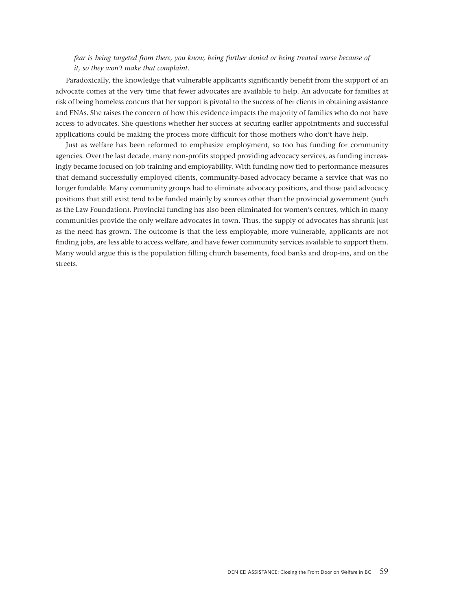#### *fear is being targeted from there, you know, being further denied or being treated worse because of it, so they won't make that complaint.*

Paradoxically, the knowledge that vulnerable applicants significantly benefit from the support of an advocate comes at the very time that fewer advocates are available to help. An advocate for families at risk of being homeless concurs that her support is pivotal to the success of her clients in obtaining assistance and ENAs. She raises the concern of how this evidence impacts the majority of families who do not have access to advocates. She questions whether her success at securing earlier appointments and successful applications could be making the process more difficult for those mothers who don't have help.

Just as welfare has been reformed to emphasize employment, so too has funding for community agencies. Over the last decade, many non-profits stopped providing advocacy services, as funding increasingly became focused on job training and employability. With funding now tied to performance measures that demand successfully employed clients, community-based advocacy became a service that was no longer fundable. Many community groups had to eliminate advocacy positions, and those paid advocacy positions that still exist tend to be funded mainly by sources other than the provincial government (such as the Law Foundation). Provincial funding has also been eliminated for women's centres, which in many communities provide the only welfare advocates in town. Thus, the supply of advocates has shrunk just as the need has grown. The outcome is that the less employable, more vulnerable, applicants are not finding jobs, are less able to access welfare, and have fewer community services available to support them. Many would argue this is the population filling church basements, food banks and drop-ins, and on the streets.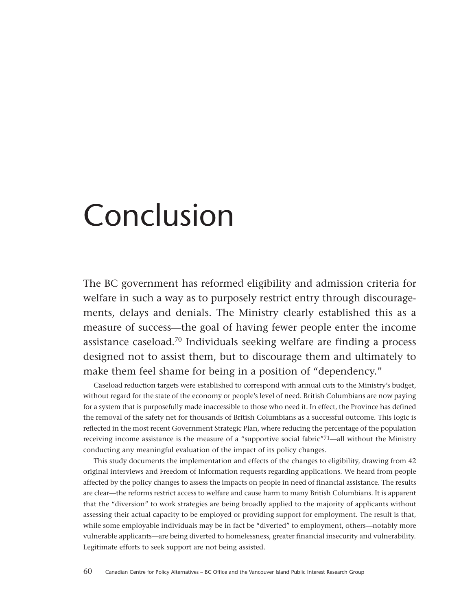## <span id="page-59-0"></span>Conclusion

The BC government has reformed eligibility and admission criteria for welfare in such a way as to purposely restrict entry through discouragements, delays and denials. The Ministry clearly established this as a measure of success—the goal of having fewer people enter the income assistance caseload.70 Individuals seeking welfare are finding a process designed not to assist them, but to discourage them and ultimately to make them feel shame for being in a position of "dependency."

Caseload reduction targets were established to correspond with annual cuts to the Ministry's budget, without regard for the state of the economy or people's level of need. British Columbians are now paying for a system that is purposefully made inaccessible to those who need it. In effect, the Province has defined the removal of the safety net for thousands of British Columbians as a successful outcome. This logic is reflected in the most recent Government Strategic Plan, where reducing the percentage of the population receiving income assistance is the measure of a "supportive social fabric"71—all without the Ministry conducting any meaningful evaluation of the impact of its policy changes.

This study documents the implementation and effects of the changes to eligibility, drawing from 42 original interviews and Freedom of Information requests regarding applications. We heard from people affected by the policy changes to assess the impacts on people in need of financial assistance. The results are clear—the reforms restrict access to welfare and cause harm to many British Columbians. It is apparent that the "diversion" to work strategies are being broadly applied to the majority of applicants without assessing their actual capacity to be employed or providing support for employment. The result is that, while some employable individuals may be in fact be "diverted" to employment, others—notably more vulnerable applicants—are being diverted to homelessness, greater financial insecurity and vulnerability. Legitimate efforts to seek support are not being assisted.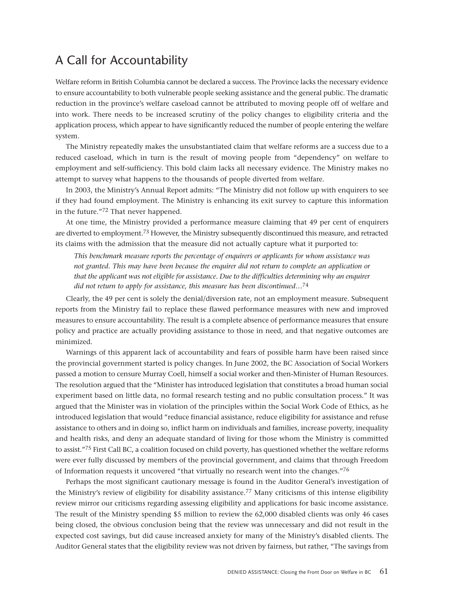## <span id="page-60-0"></span>A Call for Accountability

Welfare reform in British Columbia cannot be declared a success. The Province lacks the necessary evidence to ensure accountability to both vulnerable people seeking assistance and the general public. The dramatic reduction in the province's welfare caseload cannot be attributed to moving people off of welfare and into work. There needs to be increased scrutiny of the policy changes to eligibility criteria and the application process, which appear to have significantly reduced the number of people entering the welfare system.

The Ministry repeatedly makes the unsubstantiated claim that welfare reforms are a success due to a reduced caseload, which in turn is the result of moving people from "dependency" on welfare to employment and self-sufficiency. This bold claim lacks all necessary evidence. The Ministry makes no attempt to survey what happens to the thousands of people diverted from welfare.

In 2003, the Ministry's Annual Report admits: "The Ministry did not follow up with enquirers to see if they had found employment. The Ministry is enhancing its exit survey to capture this information in the future."72 That never happened.

At one time, the Ministry provided a performance measure claiming that 49 per cent of enquirers are diverted to employment.73 However, the Ministry subsequently discontinued this measure, and retracted its claims with the admission that the measure did not actually capture what it purported to:

*This benchmark measure reports the percentage of enquirers or applicants for whom assistance was not granted. This may have been because the enquirer did not return to complete an application or that the applicant was not eligible for assistance. Due to the difficulties determining why an enquirer did not return to apply for assistance, this measure has been discontinued…*74

Clearly, the 49 per cent is solely the denial/diversion rate, not an employment measure. Subsequent reports from the Ministry fail to replace these flawed performance measures with new and improved measures to ensure accountability. The result is a complete absence of performance measures that ensure policy and practice are actually providing assistance to those in need, and that negative outcomes are minimized.

Warnings of this apparent lack of accountability and fears of possible harm have been raised since the provincial government started is policy changes. In June 2002, the BC Association of Social Workers passed a motion to censure Murray Coell, himself a social worker and then-Minister of Human Resources. The resolution argued that the "Minister has introduced legislation that constitutes a broad human social experiment based on little data, no formal research testing and no public consultation process." It was argued that the Minister was in violation of the principles within the Social Work Code of Ethics, as he introduced legislation that would "reduce financial assistance, reduce eligibility for assistance and refuse assistance to others and in doing so, inflict harm on individuals and families, increase poverty, inequality and health risks, and deny an adequate standard of living for those whom the Ministry is committed to assist."75 First Call BC, a coalition focused on child poverty, has questioned whether the welfare reforms were ever fully discussed by members of the provincial government, and claims that through Freedom of Information requests it uncovered "that virtually no research went into the changes."76

Perhaps the most significant cautionary message is found in the Auditor General's investigation of the Ministry's review of eligibility for disability assistance.77 Many criticisms of this intense eligibility review mirror our criticisms regarding assessing eligibility and applications for basic income assistance. The result of the Ministry spending \$5 million to review the 62,000 disabled clients was only 46 cases being closed, the obvious conclusion being that the review was unnecessary and did not result in the expected cost savings, but did cause increased anxiety for many of the Ministry's disabled clients. The Auditor General states that the eligibility review was not driven by fairness, but rather, "The savings from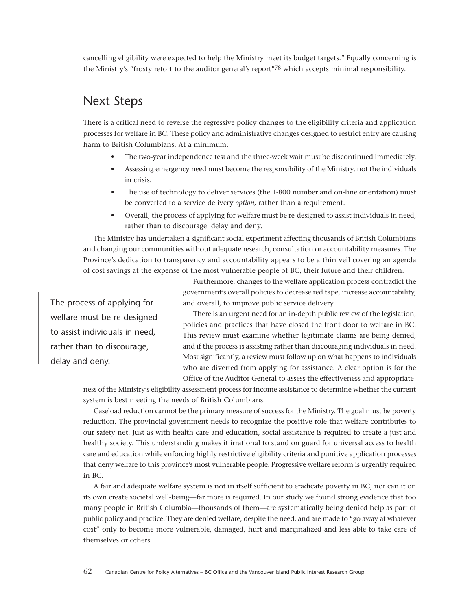cancelling eligibility were expected to help the Ministry meet its budget targets." Equally concerning is the Ministry's "frosty retort to the auditor general's report"78 which accepts minimal responsibility.

## Next Steps

There is a critical need to reverse the regressive policy changes to the eligibility criteria and application processes for welfare in BC. These policy and administrative changes designed to restrict entry are causing harm to British Columbians. At a minimum:

- <span id="page-61-0"></span>• The two-year independence test and the three-week wait must be discontinued immediately.
- Assessing emergency need must become the responsibility of the Ministry, not the individuals in crisis.
- The use of technology to deliver services (the 1-800 number and on-line orientation) must be converted to a service delivery *option,* rather than a requirement.
- Overall, the process of applying for welfare must be re-designed to assist individuals in need, rather than to discourage, delay and deny.

The Ministry has undertaken a significant social experiment affecting thousands of British Columbians and changing our communities without adequate research, consultation or accountability measures. The Province's dedication to transparency and accountability appears to be a thin veil covering an agenda of cost savings at the expense of the most vulnerable people of BC, their future and their children.

The process of applying for welfare must be re-designed to assist individuals in need, rather than to discourage, delay and deny.

Furthermore, changes to the welfare application process contradict the government's overall policies to decrease red tape, increase accountability, and overall, to improve public service delivery.

There is an urgent need for an in-depth public review of the legislation, policies and practices that have closed the front door to welfare in BC. This review must examine whether legitimate claims are being denied, and if the process is assisting rather than discouraging individuals in need. Most significantly, a review must follow up on what happens to individuals who are diverted from applying for assistance. A clear option is for the Office of the Auditor General to assess the effectiveness and appropriate-

ness of the Ministry's eligibility assessment process for income assistance to determine whether the current system is best meeting the needs of British Columbians.

Caseload reduction cannot be the primary measure of success for the Ministry. The goal must be poverty reduction. The provincial government needs to recognize the positive role that welfare contributes to our safety net. Just as with health care and education, social assistance is required to create a just and healthy society. This understanding makes it irrational to stand on guard for universal access to health care and education while enforcing highly restrictive eligibility criteria and punitive application processes that deny welfare to this province's most vulnerable people. Progressive welfare reform is urgently required in BC.

A fair and adequate welfare system is not in itself sufficient to eradicate poverty in BC, nor can it on its own create societal well-being—far more is required. In our study we found strong evidence that too many people in British Columbia—thousands of them—are systematically being denied help as part of public policy and practice. They are denied welfare, despite the need, and are made to "go away at whatever cost" only to become more vulnerable, damaged, hurt and marginalized and less able to take care of themselves or others.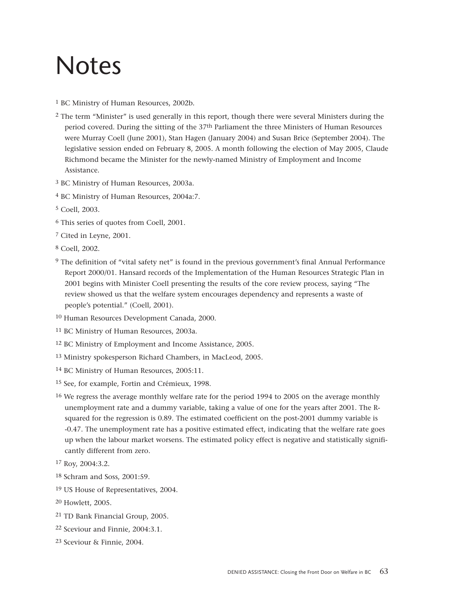## <span id="page-62-0"></span>Notes

- 1 BC Ministry of Human Resources, 2002b*.*
- 2 The term "Minister" is used generally in this report, though there were several Ministers during the period covered. During the sitting of the 37th Parliament the three Ministers of Human Resources were Murray Coell (June 2001), Stan Hagen (January 2004) and Susan Brice (September 2004). The legislative session ended on February 8, 2005. A month following the election of May 2005, Claude Richmond became the Minister for the newly-named Ministry of Employment and Income Assistance.
- 3 BC Ministry of Human Resources, 2003a.
- 4 BC Ministry of Human Resources, 2004a:7.
- 5 Coell, 2003.
- 6 This series of quotes from Coell, 2001.
- 7 Cited in Leyne, 2001.
- 8 Coell, 2002.
- 9 The definition of "vital safety net" is found in the previous government's final Annual Performance Report 2000/01. Hansard records of the Implementation of the Human Resources Strategic Plan in 2001 begins with Minister Coell presenting the results of the core review process, saying "The review showed us that the welfare system encourages dependency and represents a waste of people's potential." (Coell, 2001).
- 10 Human Resources Development Canada, 2000.
- 11 BC Ministry of Human Resources, 2003a.
- 12 BC Ministry of Employment and Income Assistance, 2005*.*
- 13 Ministry spokesperson Richard Chambers, in MacLeod, 2005.
- 14 BC Ministry of Human Resources, 2005:11.
- 15 See, for example, Fortin and Crémieux, 1998.
- <sup>16</sup> We regress the average monthly welfare rate for the period 1994 to 2005 on the average monthly unemployment rate and a dummy variable, taking a value of one for the years after 2001. The Rsquared for the regression is 0.89. The estimated coefficient on the post-2001 dummy variable is -0.47. The unemployment rate has a positive estimated effect, indicating that the welfare rate goes up when the labour market worsens. The estimated policy effect is negative and statistically significantly different from zero.
- 17 Roy, 2004:3.2.
- 18 Schram and Soss, 2001:59.
- 19 US House of Representatives, 2004.
- 20 Howlett, 2005.
- 21 TD Bank Financial Group, 2005.
- 22 Sceviour and Finnie, 2004:3.1.
- 23 Sceviour & Finnie, 2004.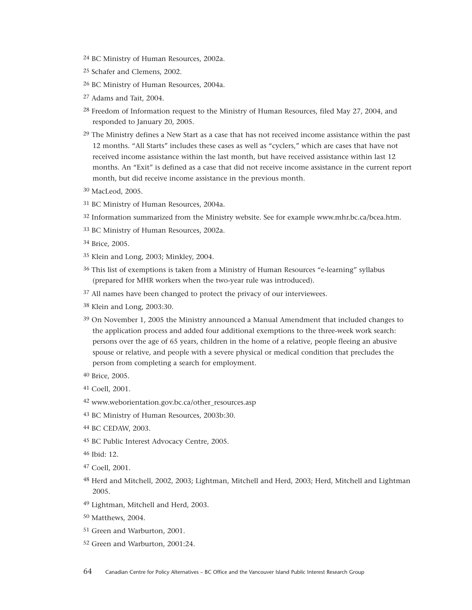- BC Ministry of Human Resources, 2002a.
- Schafer and Clemens, 2002.
- BC Ministry of Human Resources, 2004a.
- Adams and Tait, 2004.
- Freedom of Information request to the Ministry of Human Resources, filed May 27, 2004, and responded to January 20, 2005.
- The Ministry defines a New Start as a case that has not received income assistance within the past 12 months. "All Starts" includes these cases as well as "cyclers," which are cases that have not received income assistance within the last month, but have received assistance within last 12 months. An "Exit" is defined as a case that did not receive income assistance in the current report month, but did receive income assistance in the previous month.
- MacLeod, 2005.
- BC Ministry of Human Resources, 2004a.
- Information summarized from the Ministry website. See for example www.mhr.bc.ca/bcea.htm.
- BC Ministry of Human Resources, 2002a.
- Brice, 2005.
- Klein and Long, 2003; Minkley, 2004.
- This list of exemptions is taken from a Ministry of Human Resources "e-learning" syllabus (prepared for MHR workers when the two-year rule was introduced).
- <sup>37</sup> All names have been changed to protect the privacy of our interviewees.
- Klein and Long, 2003:30.
- On November 1, 2005 the Ministry announced a Manual Amendment that included changes to the application process and added four additional exemptions to the three-week work search: persons over the age of 65 years, children in the home of a relative, people fleeing an abusive spouse or relative, and people with a severe physical or medical condition that precludes the person from completing a search for employment.
- Brice, 2005.
- Coell, 2001.
- www.weborientation.gov.bc.ca/other\_resources.asp
- BC Ministry of Human Resources, 2003b:30.
- BC CEDAW, 2003.
- BC Public Interest Advocacy Centre, 2005.
- Ibid: 12.
- Coell, 2001.
- Herd and Mitchell, 2002, 2003; Lightman, Mitchell and Herd, 2003; Herd, Mitchell and Lightman 2005.
- Lightman, Mitchell and Herd, 2003.
- Matthews, 2004.
- Green and Warburton, 2001.
- Green and Warburton, 2001:24.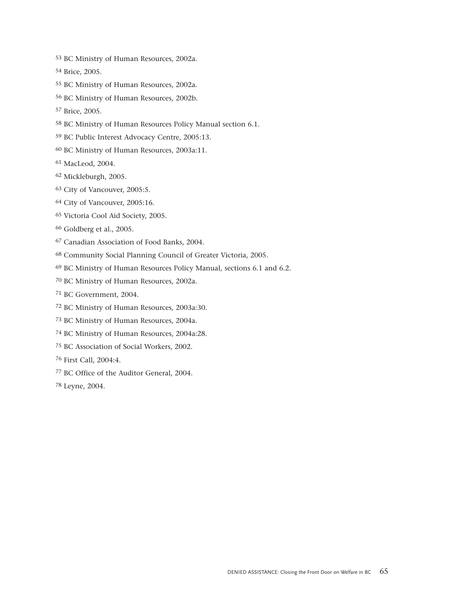- BC Ministry of Human Resources, 2002a.
- Brice, 2005.
- BC Ministry of Human Resources, 2002a.
- BC Ministry of Human Resources, 2002b.
- Brice, 2005.
- BC Ministry of Human Resources Policy Manual section 6.1.
- BC Public Interest Advocacy Centre, 2005:13.
- BC Ministry of Human Resources, 2003a:11.
- MacLeod, 2004.
- Mickleburgh, 2005.
- City of Vancouver, 2005:5.
- City of Vancouver, 2005:16.
- Victoria Cool Aid Society, 2005.
- Goldberg et al., 2005.
- Canadian Association of Food Banks, 2004.
- Community Social Planning Council of Greater Victoria, 2005.
- BC Ministry of Human Resources Policy Manual, sections 6.1 and 6.2.
- BC Ministry of Human Resources, 2002a.
- BC Government, 2004.
- BC Ministry of Human Resources, 2003a:30.
- BC Ministry of Human Resources, 2004a.
- BC Ministry of Human Resources, 2004a:28.
- BC Association of Social Workers, 2002.
- First Call, 2004:4.
- BC Office of the Auditor General, 2004.
- Leyne, 2004.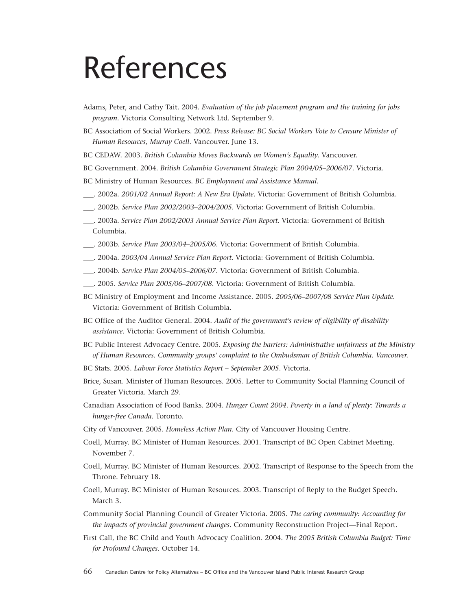## <span id="page-65-0"></span>References

- Adams, Peter, and Cathy Tait. 2004. *Evaluation of the job placement program and the training for jobs program.* Victoria Consulting Network Ltd. September 9.
- BC Association of Social Workers. 2002. *Press Release: BC Social Workers Vote to Censure Minister of Human Resources, Murray Coell*. Vancouver. June 13.
- BC CEDAW. 2003. *British Columbia Moves Backwards on Women's Equality.* Vancouver.
- BC Government. 2004. *British Columbia Government Strategic Plan 2004/05–2006/07*. Victoria.
- BC Ministry of Human Resources. *BC Employment and Assistance Manual*.
- \_\_\_. 2002a. *2001/02 Annual Report: A New Era Update.* Victoria: Government of British Columbia.
- \_\_\_. 2002b. *Service Plan 2002/2003–2004/2005.* Victoria: Government of British Columbia.
- \_\_\_. 2003a. *Service Plan 2002/2003 Annual Service Plan Report.* Victoria: Government of British Columbia.
- \_\_\_. 2003b. *Service Plan 2003/04–2005/06.* Victoria: Government of British Columbia.
- \_\_\_. 2004a. *2003/04 Annual Service Plan Report.* Victoria: Government of British Columbia.
- \_\_\_. 2004b. *Service Plan 2004/05–2006/07.* Victoria: Government of British Columbia.
- \_\_\_. 2005. *Service Plan 2005/06–2007/08.* Victoria: Government of British Columbia.
- BC Ministry of Employment and Income Assistance. 2005. *2005/06–2007/08 Service Plan Update.* Victoria: Government of British Columbia.
- BC Office of the Auditor General. 2004. *Audit of the government's review of eligibility of disability assistance*. Victoria: Government of British Columbia.
- BC Public Interest Advocacy Centre. 2005. *Exposing the barriers: Administrative unfairness at the Ministry of Human Resources. Community groups' complaint to the Ombudsman of British Columbia. Vancouver.*
- BC Stats. 2005. *Labour Force Statistics Report September 2005*. Victoria.
- Brice, Susan. Minister of Human Resources. 2005. Letter to Community Social Planning Council of Greater Victoria. March 29.
- Canadian Association of Food Banks. 2004. *Hunger Count 2004. Poverty in a land of plenty: Towards a hunger-free Canada.* Toronto.
- City of Vancouver. 2005. *Homeless Action Plan*. City of Vancouver Housing Centre.
- Coell, Murray. BC Minister of Human Resources. 2001. Transcript of BC Open Cabinet Meeting. November 7.
- Coell, Murray. BC Minister of Human Resources. 2002. Transcript of Response to the Speech from the Throne. February 18.
- Coell, Murray. BC Minister of Human Resources. 2003. Transcript of Reply to the Budget Speech. March 3.
- Community Social Planning Council of Greater Victoria. 2005. *The caring community: Accounting for the impacts of provincial government changes.* Community Reconstruction Project—Final Report.
- First Call, the BC Child and Youth Advocacy Coalition. 2004. *The 2005 British Columbia Budget: Time for Profound Changes*. October 14.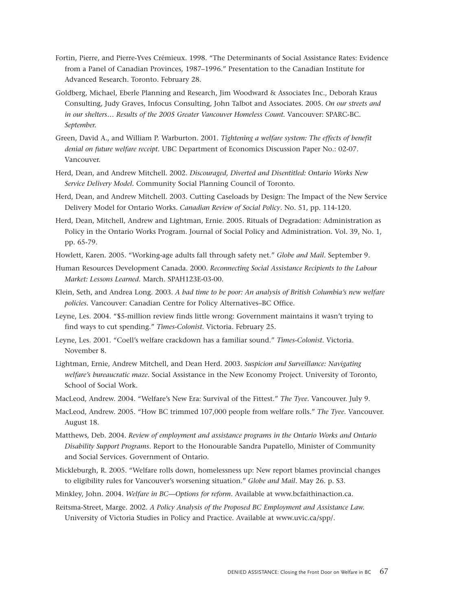- Fortin, Pierre, and Pierre-Yves Crémieux. 1998. "The Determinants of Social Assistance Rates: Evidence from a Panel of Canadian Provinces, 1987–1996." Presentation to the Canadian Institute for Advanced Research. Toronto. February 28.
- Goldberg, Michael, Eberle Planning and Research, Jim Woodward & Associates Inc., Deborah Kraus Consulting, Judy Graves, Infocus Consulting, John Talbot and Associates. 2005. *On our streets and in our shelters… Results of the 2005 Greater Vancouver Homeless Count.* Vancouver: SPARC-BC. *September.*
- Green, David A., and William P. Warburton. 2001. *Tightening a welfare system: The effects of benefit denial on future welfare receipt.* UBC Department of Economics Discussion Paper No.: 02-07. Vancouver.
- Herd, Dean, and Andrew Mitchell. 2002. *Discouraged, Diverted and Disentitled: Ontario Works New Service Delivery Model.* Community Social Planning Council of Toronto.
- Herd, Dean, and Andrew Mitchell. 2003. Cutting Caseloads by Design: The Impact of the New Service Delivery Model for Ontario Works. *Canadian Review of Social Policy*. No. 51, pp. 114-120.
- Herd, Dean, Mitchell, Andrew and Lightman, Ernie. 2005. Rituals of Degradation: Administration as Policy in the Ontario Works Program. Journal of Social Policy and Administration. Vol. 39, No. 1, pp. 65-79.
- Howlett, Karen. 2005. "Working-age adults fall through safety net." *Globe and Mail.* September 9.
- Human Resources Development Canada. 2000. *Reconnecting Social Assistance Recipients to the Labour Market: Lessons Learned.* March. SPAH123E-03-00.
- Klein, Seth, and Andrea Long. 2003. *A bad time to be poor: An analysis of British Columbia's new welfare policies.* Vancouver: Canadian Centre for Policy Alternatives–BC Office.
- Leyne, Les. 2004. "\$5-million review finds little wrong: Government maintains it wasn't trying to find ways to cut spending." *Times-Colonist*. Victoria. February 25.
- Leyne, Les. 2001. "Coell's welfare crackdown has a familiar sound." *Times-Colonist*. Victoria. November 8.
- Lightman, Ernie, Andrew Mitchell, and Dean Herd. 2003. *Suspicion and Surveillance: Navigating welfare's bureaucratic maze.* Social Assistance in the New Economy Project. University of Toronto, School of Social Work.
- MacLeod, Andrew. 2004. "Welfare's New Era: Survival of the Fittest." *The Tyee.* Vancouver. July 9.
- MacLeod, Andrew. 2005. "How BC trimmed 107,000 people from welfare rolls." *The Tyee.* Vancouver. August 18.
- Matthews, Deb. 2004. *Review of employment and assistance programs in the Ontario Works and Ontario Disability Support Programs.* Report to the Honourable Sandra Pupatello, Minister of Community and Social Services. Government of Ontario.
- Mickleburgh, R. 2005. "Welfare rolls down, homelessness up: New report blames provincial changes to eligibility rules for Vancouver's worsening situation." *Globe and Mail.* May 26. p. S3.
- Minkley, John. 2004. *Welfare in BC—Options for reform.* Available at www.bcfaithinaction.ca.
- Reitsma-Street, Marge. 2002. *A Policy Analysis of the Proposed BC Employment and Assistance Law.* University of Victoria Studies in Policy and Practice. Available at www.uvic.ca/spp/.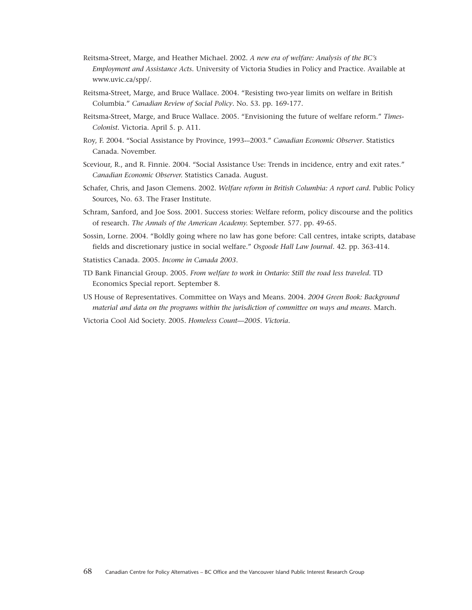- Reitsma-Street, Marge, and Heather Michael. 2002. *A new era of welfare: Analysis of the BC's Employment and Assistance Acts.* University of Victoria Studies in Policy and Practice. Available at www.uvic.ca/spp/.
- Reitsma-Street, Marge, and Bruce Wallace. 2004. "Resisting two-year limits on welfare in British Columbia." *Canadian Review of Social Policy*. No. 53. pp. 169-177.
- Reitsma-Street, Marge, and Bruce Wallace. 2005. "Envisioning the future of welfare reform." *Times-Colonist.* Victoria. April 5. p. A11.
- Roy, F. 2004. "Social Assistance by Province, 1993-–2003." *Canadian Economic Observer*. Statistics Canada. November.
- Sceviour, R., and R. Finnie. 2004. "Social Assistance Use: Trends in incidence, entry and exit rates." *Canadian Economic Observer.* Statistics Canada. August.
- Schafer, Chris, and Jason Clemens. 2002. *Welfare reform in British Columbia: A report card.* Public Policy Sources, No. 63. The Fraser Institute.
- Schram, Sanford, and Joe Soss. 2001. Success stories: Welfare reform, policy discourse and the politics of research. *The Annals of the American Academy.* September. 577. pp. 49-65.
- Sossin, Lorne. 2004. "Boldly going where no law has gone before: Call centres, intake scripts, database fields and discretionary justice in social welfare." *Osgoode Hall Law Journal.* 42. pp. 363-414.
- Statistics Canada. 2005. *Income in Canada 2003*.
- TD Bank Financial Group. 2005. *From welfare to work in Ontario: Still the road less traveled*. TD Economics Special report. September 8.

US House of Representatives. Committee on Ways and Means. 2004. *2004 Green Book: Background material and data on the programs within the jurisdiction of committee on ways and means.* March.

Victoria Cool Aid Society. 2005. *Homeless Count—2005. Victoria.*